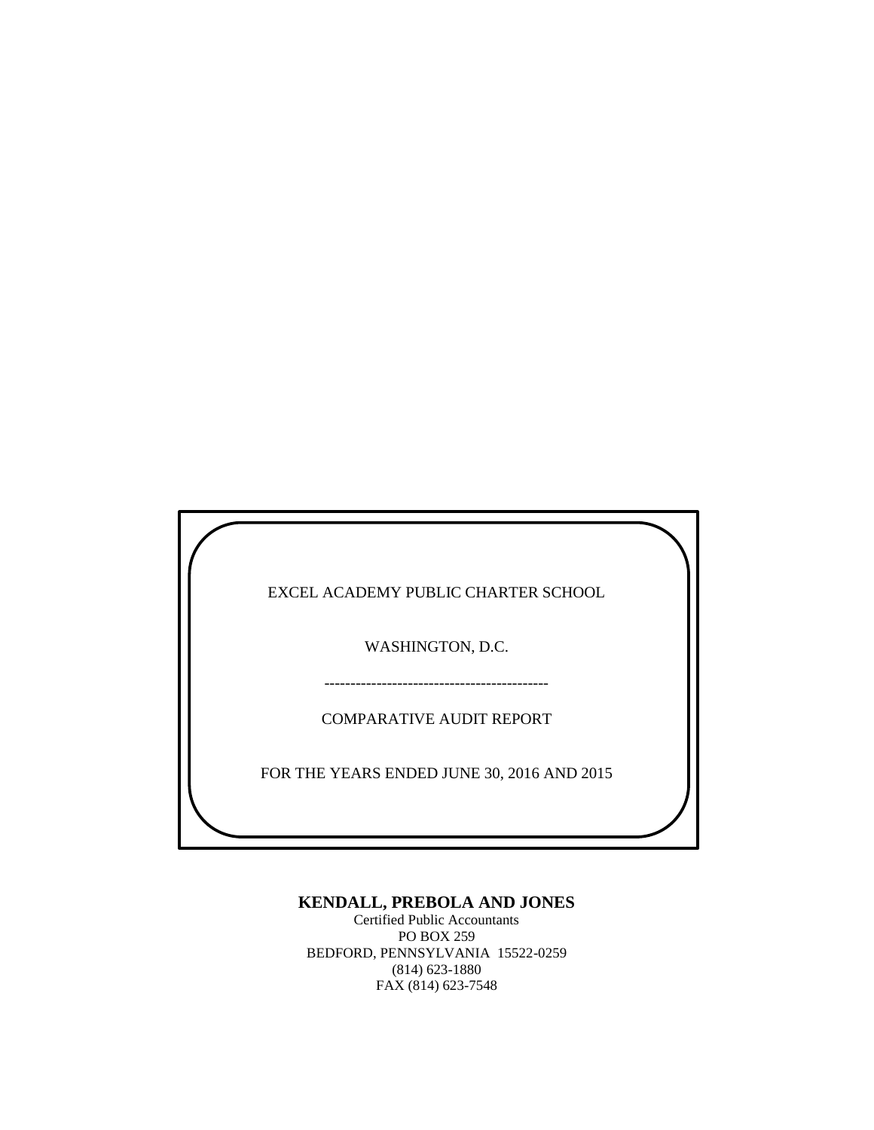EXCEL ACADEMY PUBLIC CHARTER SCHOOL

WASHINGTON, D.C.

-------------------------------------------

COMPARATIVE AUDIT REPORT

FOR THE YEARS ENDED JUNE 30, 2016 AND 2015

# **KENDALL, PREBOLA AND JONES**

Certified Public Accountants PO BOX 259 BEDFORD, PENNSYLVANIA 15522-0259 (814) 623-1880 FAX (814) 623-7548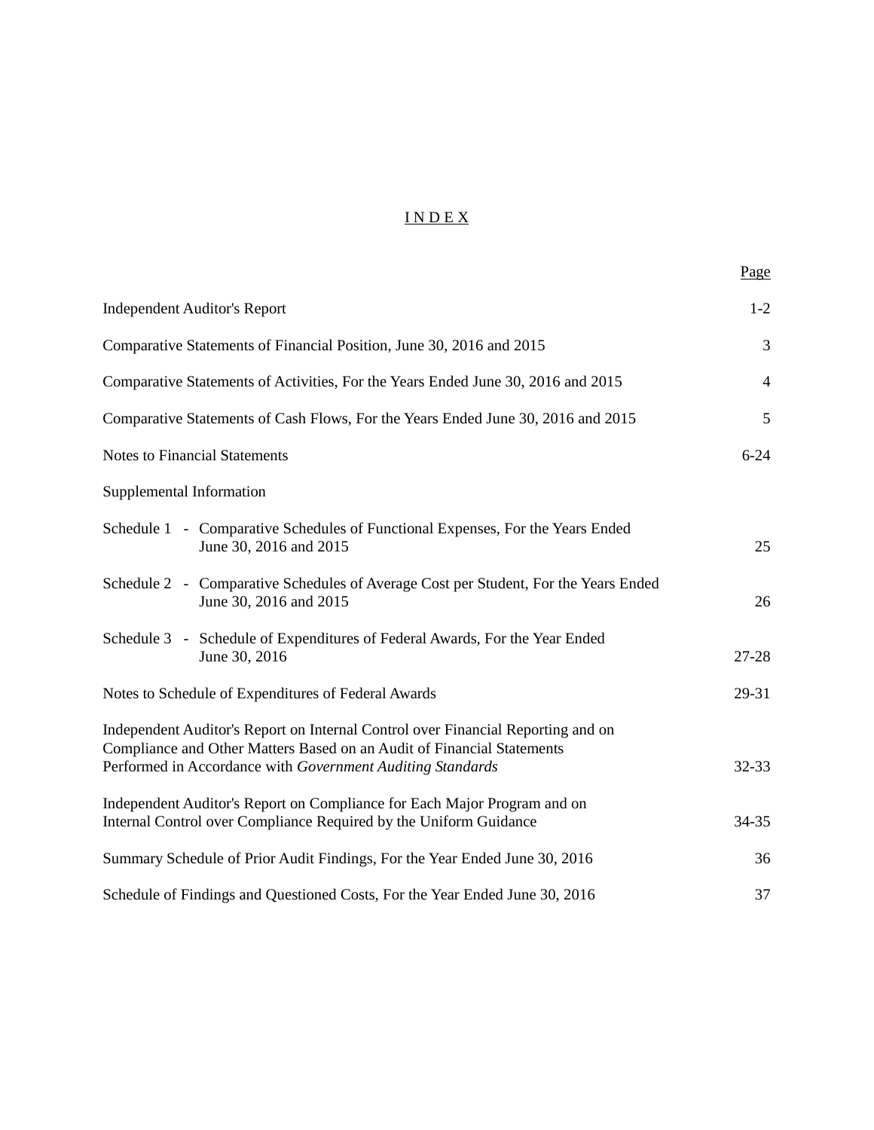# I N D E X

|                                                                                                                                                                                                                          | Page           |
|--------------------------------------------------------------------------------------------------------------------------------------------------------------------------------------------------------------------------|----------------|
| <b>Independent Auditor's Report</b>                                                                                                                                                                                      | $1 - 2$        |
| Comparative Statements of Financial Position, June 30, 2016 and 2015                                                                                                                                                     | 3              |
| Comparative Statements of Activities, For the Years Ended June 30, 2016 and 2015                                                                                                                                         | $\overline{4}$ |
| Comparative Statements of Cash Flows, For the Years Ended June 30, 2016 and 2015                                                                                                                                         | 5              |
| <b>Notes to Financial Statements</b>                                                                                                                                                                                     | $6 - 24$       |
| Supplemental Information                                                                                                                                                                                                 |                |
| Schedule 1 - Comparative Schedules of Functional Expenses, For the Years Ended<br>June 30, 2016 and 2015                                                                                                                 | 25             |
| Schedule 2 - Comparative Schedules of Average Cost per Student, For the Years Ended<br>June 30, 2016 and 2015                                                                                                            | 26             |
| Schedule 3 - Schedule of Expenditures of Federal Awards, For the Year Ended<br>June 30, 2016                                                                                                                             | 27-28          |
| Notes to Schedule of Expenditures of Federal Awards                                                                                                                                                                      | 29-31          |
| Independent Auditor's Report on Internal Control over Financial Reporting and on<br>Compliance and Other Matters Based on an Audit of Financial Statements<br>Performed in Accordance with Government Auditing Standards | $32 - 33$      |
| Independent Auditor's Report on Compliance for Each Major Program and on<br>Internal Control over Compliance Required by the Uniform Guidance                                                                            | $34 - 35$      |
| Summary Schedule of Prior Audit Findings, For the Year Ended June 30, 2016                                                                                                                                               | 36             |
| Schedule of Findings and Questioned Costs, For the Year Ended June 30, 2016                                                                                                                                              | 37             |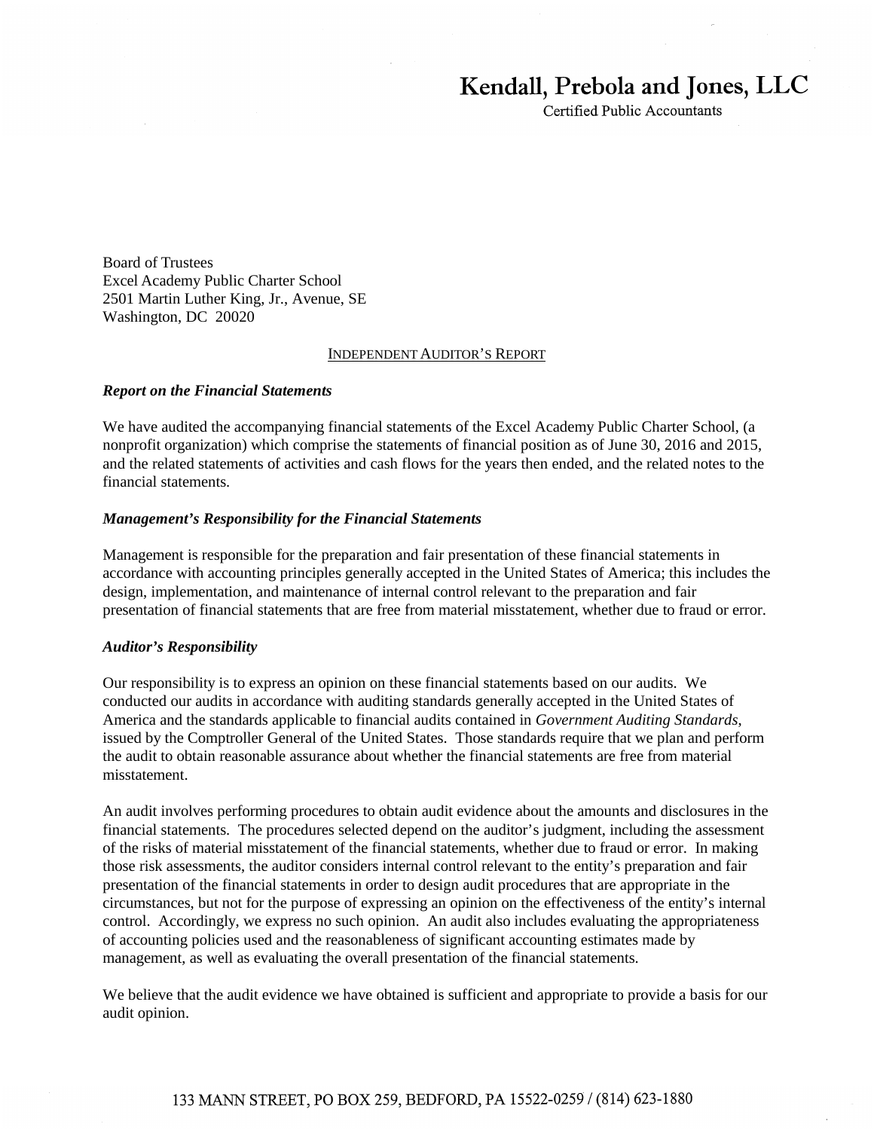# Kendall, Prebola and Jones, LLC

**Certified Public Accountants** 

Board of Trustees Excel Academy Public Charter School 2501 Martin Luther King, Jr., Avenue, SE Washington, DC 20020

#### INDEPENDENT AUDITOR'S REPORT

#### *Report on the Financial Statements*

We have audited the accompanying financial statements of the Excel Academy Public Charter School, (a nonprofit organization) which comprise the statements of financial position as of June 30, 2016 and 2015, and the related statements of activities and cash flows for the years then ended, and the related notes to the financial statements.

#### *Management's Responsibility for the Financial Statements*

Management is responsible for the preparation and fair presentation of these financial statements in accordance with accounting principles generally accepted in the United States of America; this includes the design, implementation, and maintenance of internal control relevant to the preparation and fair presentation of financial statements that are free from material misstatement, whether due to fraud or error.

#### *Auditor's Responsibility*

Our responsibility is to express an opinion on these financial statements based on our audits. We conducted our audits in accordance with auditing standards generally accepted in the United States of America and the standards applicable to financial audits contained in *Government Auditing Standards*, issued by the Comptroller General of the United States. Those standards require that we plan and perform the audit to obtain reasonable assurance about whether the financial statements are free from material misstatement.

An audit involves performing procedures to obtain audit evidence about the amounts and disclosures in the financial statements. The procedures selected depend on the auditor's judgment, including the assessment of the risks of material misstatement of the financial statements, whether due to fraud or error. In making those risk assessments, the auditor considers internal control relevant to the entity's preparation and fair presentation of the financial statements in order to design audit procedures that are appropriate in the circumstances, but not for the purpose of expressing an opinion on the effectiveness of the entity's internal control. Accordingly, we express no such opinion. An audit also includes evaluating the appropriateness of accounting policies used and the reasonableness of significant accounting estimates made by management, as well as evaluating the overall presentation of the financial statements.

We believe that the audit evidence we have obtained is sufficient and appropriate to provide a basis for our audit opinion.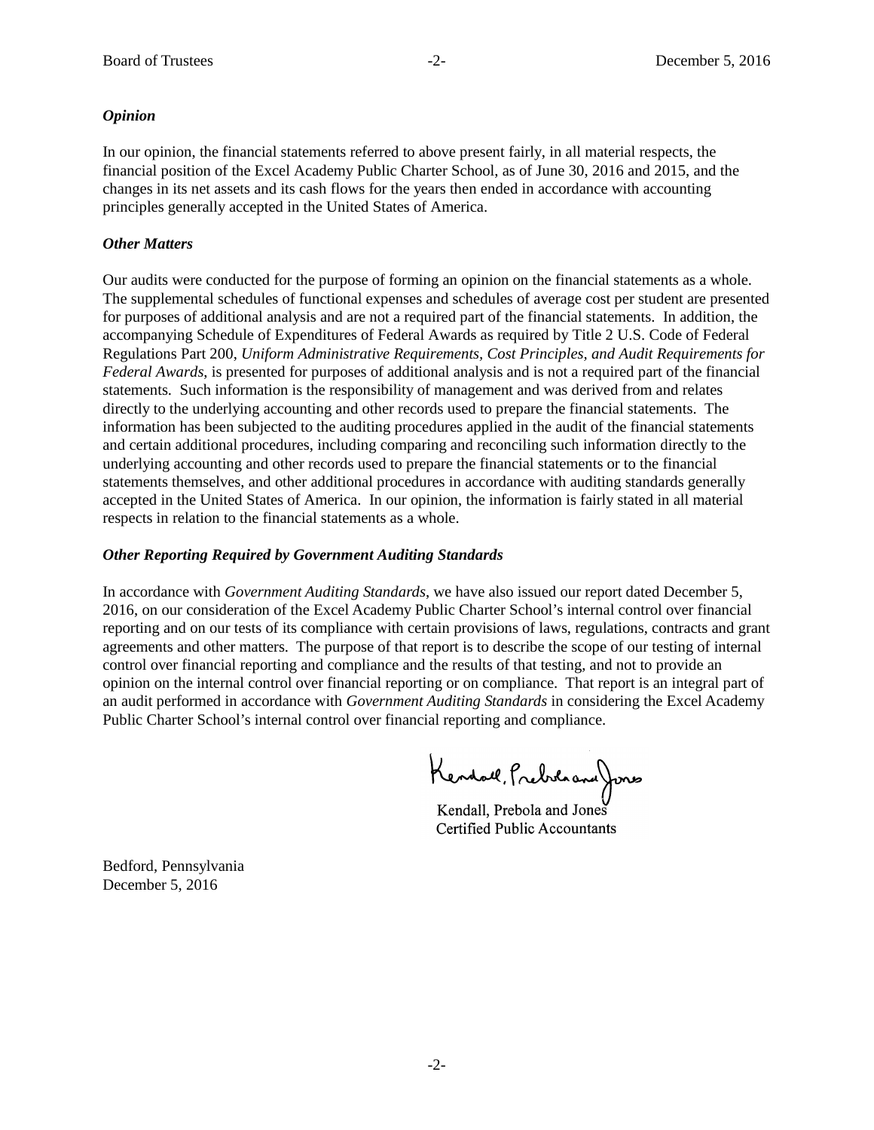#### *Opinion*

In our opinion, the financial statements referred to above present fairly, in all material respects, the financial position of the Excel Academy Public Charter School, as of June 30, 2016 and 2015, and the changes in its net assets and its cash flows for the years then ended in accordance with accounting principles generally accepted in the United States of America.

## *Other Matters*

Our audits were conducted for the purpose of forming an opinion on the financial statements as a whole. The supplemental schedules of functional expenses and schedules of average cost per student are presented for purposes of additional analysis and are not a required part of the financial statements. In addition, the accompanying Schedule of Expenditures of Federal Awards as required by Title 2 U.S. Code of Federal Regulations Part 200, Uniform Administrative Requirements, Cost Principles, and Audit Requirements for *Federal Awards*, is presented for purposes of additional analysis and is not a required part of the financial statements. Such information is the responsibility of management and was derived from and relates directly to the underlying accounting and other records used to prepare the financial statements. The information has been subjected to the auditing procedures applied in the audit of the financial statements and certain additional procedures, including comparing and reconciling such information directly to the underlying accounting and other records used to prepare the financial statements or to the financial statements themselves, and other additional procedures in accordance with auditing standards generally accepted in the United States of America. In our opinion, the information is fairly stated in all material respects in relation to the financial statements as a whole.

#### *Other Reporting Required by Government Auditing Standards*

In accordance with *Government Auditing Standards*, we have also issued our report dated December 5, 2016, on our consideration of the Excel Academy Public Charter School's internal control over financial reporting and on our tests of its compliance with certain provisions of laws, regulations, contracts and grant agreements and other matters. The purpose of that report is to describe the scope of our testing of internal control over financial reporting and compliance and the results of that testing, and not to provide an opinion on the internal control over financial reporting or on compliance. That report is an integral part of an audit performed in accordance with *Government Auditing Standards* in considering the Excel Academy Public Charter School's internal control over financial reporting and compliance.

Kendal, Prebihand Jones

Kendall, Prebola and Jones Kendall, Prebola and Jones Certified Public Accountants Certified Public Accountants

Bedford, Pennsylvania Bedford, Pennsylvania December 5, 2016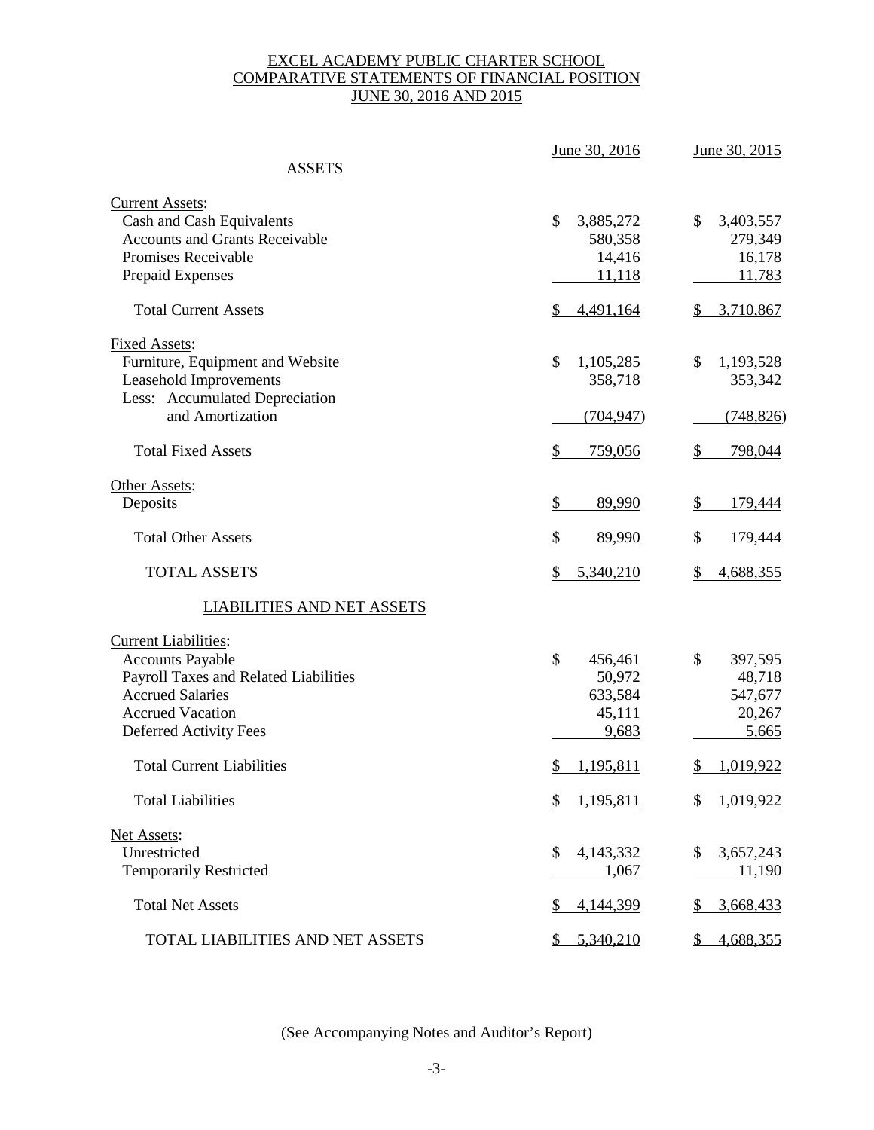# EXCEL ACADEMY PUBLIC CHARTER SCHOOL COMPARATIVE STATEMENTS OF FINANCIAL POSITION JUNE 30, 2016 AND 2015

| <b>ASSETS</b>                         | June 30, 2016   | June 30, 2015   |
|---------------------------------------|-----------------|-----------------|
| <b>Current Assets:</b>                |                 |                 |
| Cash and Cash Equivalents             | \$<br>3,885,272 | 3,403,557<br>\$ |
| <b>Accounts and Grants Receivable</b> | 580,358         | 279,349         |
| Promises Receivable                   | 14,416          | 16,178          |
| Prepaid Expenses                      | 11,118          | 11,783          |
| <b>Total Current Assets</b>           | 4,491,164<br>S. | 3,710,867<br>\$ |
| <b>Fixed Assets:</b>                  |                 |                 |
| Furniture, Equipment and Website      | \$<br>1,105,285 | \$<br>1,193,528 |
| Leasehold Improvements                | 358,718         | 353,342         |
| Less: Accumulated Depreciation        |                 |                 |
| and Amortization                      | (704, 947)      | (748, 826)      |
| <b>Total Fixed Assets</b>             | \$<br>759,056   | 798,044<br>\$   |
| Other Assets:                         |                 |                 |
| Deposits                              | \$<br>89,990    | 179,444<br>\$   |
| <b>Total Other Assets</b>             | \$<br>89,990    | \$<br>179,444   |
| <b>TOTAL ASSETS</b>                   | 5,340,210       | 4,688,355       |
| <b>LIABILITIES AND NET ASSETS</b>     |                 |                 |
| <b>Current Liabilities:</b>           |                 |                 |
| <b>Accounts Payable</b>               | \$<br>456,461   | \$<br>397,595   |
| Payroll Taxes and Related Liabilities | 50,972          | 48,718          |
| <b>Accrued Salaries</b>               | 633,584         | 547,677         |
| <b>Accrued Vacation</b>               | 45,111          | 20,267          |
| Deferred Activity Fees                | 9,683           | 5,665           |
| <b>Total Current Liabilities</b>      | 1,195,811<br>S  | 1,019,922<br>S  |
| <b>Total Liabilities</b>              | \$<br>1,195,811 | \$<br>1,019,922 |
| Net Assets:                           |                 |                 |
| Unrestricted                          | \$<br>4,143,332 | \$<br>3,657,243 |
| <b>Temporarily Restricted</b>         | 1,067           | 11,190          |
| <b>Total Net Assets</b>               | 4,144,399       | 3,668,433<br>\$ |
| TOTAL LIABILITIES AND NET ASSETS      | 5,340,210       | 4,688,355       |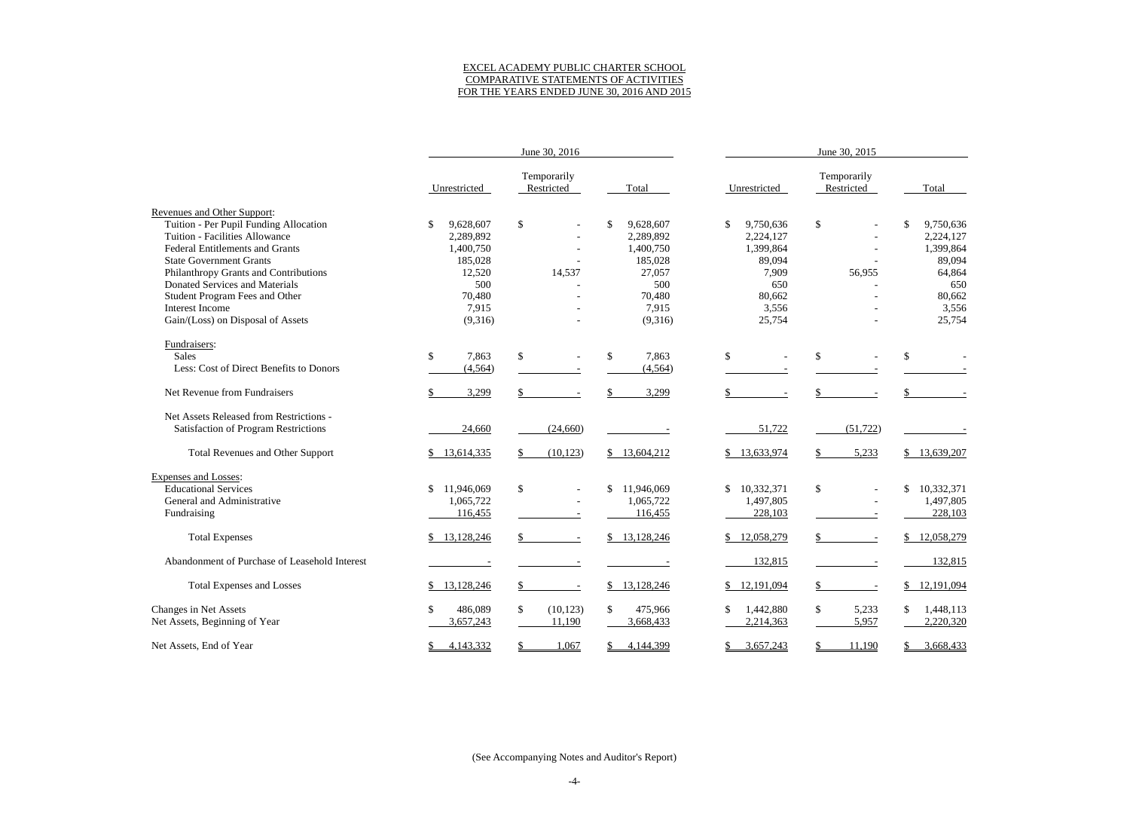#### EXCEL ACADEMY PUBLIC CHARTER SCHOOL COMPARATIVE STATEMENTS OF ACTIVITIES FOR THE YEARS ENDED JUNE 30, 2016 AND 2015

|                                               | June 30, 2016              |                            |                  | June 30, 2015    |                           |                  |  |  |
|-----------------------------------------------|----------------------------|----------------------------|------------------|------------------|---------------------------|------------------|--|--|
|                                               | Unrestricted               | Temporarily<br>Restricted  | Total            | Unrestricted     | Temporarily<br>Restricted | Total            |  |  |
| Revenues and Other Support:                   |                            |                            |                  |                  |                           |                  |  |  |
| Tuition - Per Pupil Funding Allocation        | <sup>\$</sup><br>9,628,607 | $\mathbb{S}$               | \$<br>9,628,607  | \$<br>9,750,636  | $\mathbb{S}$              | 9,750,636<br>\$  |  |  |
| Tuition - Facilities Allowance                | 2,289,892                  |                            | 2,289,892        | 2,224,127        |                           | 2,224,127        |  |  |
| <b>Federal Entitlements and Grants</b>        | 1,400,750                  |                            | 1,400,750        | 1,399,864        |                           | 1,399,864        |  |  |
| <b>State Government Grants</b>                | 185,028                    |                            | 185,028          | 89,094           |                           | 89,094           |  |  |
| Philanthropy Grants and Contributions         | 12,520                     | 14,537                     | 27,057           | 7,909            | 56,955                    | 64,864           |  |  |
| Donated Services and Materials                | 500                        |                            | 500              | 650              |                           | 650              |  |  |
| Student Program Fees and Other                | 70,480                     |                            | 70,480           | 80,662           |                           | 80,662           |  |  |
| Interest Income                               | 7,915                      |                            | 7,915            | 3,556            |                           | 3,556            |  |  |
| Gain/(Loss) on Disposal of Assets             | (9,316)                    |                            | (9,316)          | 25,754           |                           | 25,754           |  |  |
|                                               |                            |                            |                  |                  |                           |                  |  |  |
| Fundraisers:                                  |                            |                            |                  |                  |                           |                  |  |  |
| <b>Sales</b>                                  | \$<br>7,863                | $\mathcal{S}$              | \$<br>7,863      | \$               | $\mathbb{S}$              | $\mathbb{S}$     |  |  |
| Less: Cost of Direct Benefits to Donors       | (4, 564)                   |                            | (4, 564)         |                  |                           |                  |  |  |
| Net Revenue from Fundraisers                  | 3,299                      |                            | 3,299            |                  |                           |                  |  |  |
| Net Assets Released from Restrictions -       |                            |                            |                  |                  |                           |                  |  |  |
| Satisfaction of Program Restrictions          | 24,660                     | (24, 660)                  |                  | 51,722           | (51, 722)                 |                  |  |  |
| <b>Total Revenues and Other Support</b>       | 13,614,335<br>\$           | (10, 123)                  | \$13,604,212     | 13,633,974       | 5,233                     | \$13,639,207     |  |  |
| <b>Expenses and Losses:</b>                   |                            |                            |                  |                  |                           |                  |  |  |
| <b>Educational Services</b>                   | \$<br>11,946,069           | $\mathcal{S}$              | \$<br>11,946,069 | \$<br>10,332,371 | $\mathcal{S}$             | 10,332,371<br>\$ |  |  |
| General and Administrative                    | 1,065,722                  |                            | 1,065,722        | 1,497,805        |                           | 1,497,805        |  |  |
| Fundraising                                   | 116,455                    |                            | 116,455          | 228,103          |                           | 228,103          |  |  |
| <b>Total Expenses</b>                         | 13,128,246                 |                            | 13,128,246       | 12,058,279       | $\overline{\phantom{a}}$  | 12,058,279<br>S. |  |  |
| Abandonment of Purchase of Leasehold Interest | $\sim$                     |                            |                  | 132,815          |                           | 132,815          |  |  |
| <b>Total Expenses and Losses</b>              | 13,128,246                 |                            | \$13,128,246     | 12,191,094       |                           | \$12,191,094     |  |  |
| Changes in Net Assets                         | \$<br>486,089              | <sup>\$</sup><br>(10, 123) | \$<br>475,966    | 1,442,880        | $\mathbb{S}$<br>5,233     | 1,448,113<br>\$  |  |  |
| Net Assets, Beginning of Year                 | 3,657,243                  | 11,190                     | 3,668,433        | 2,214,363        | 5,957                     | 2,220,320        |  |  |
| Net Assets, End of Year                       | \$<br>4,143,332            | 1,067                      | 4,144,399        | \$<br>3,657,243  | 11,190                    | 3,668,433        |  |  |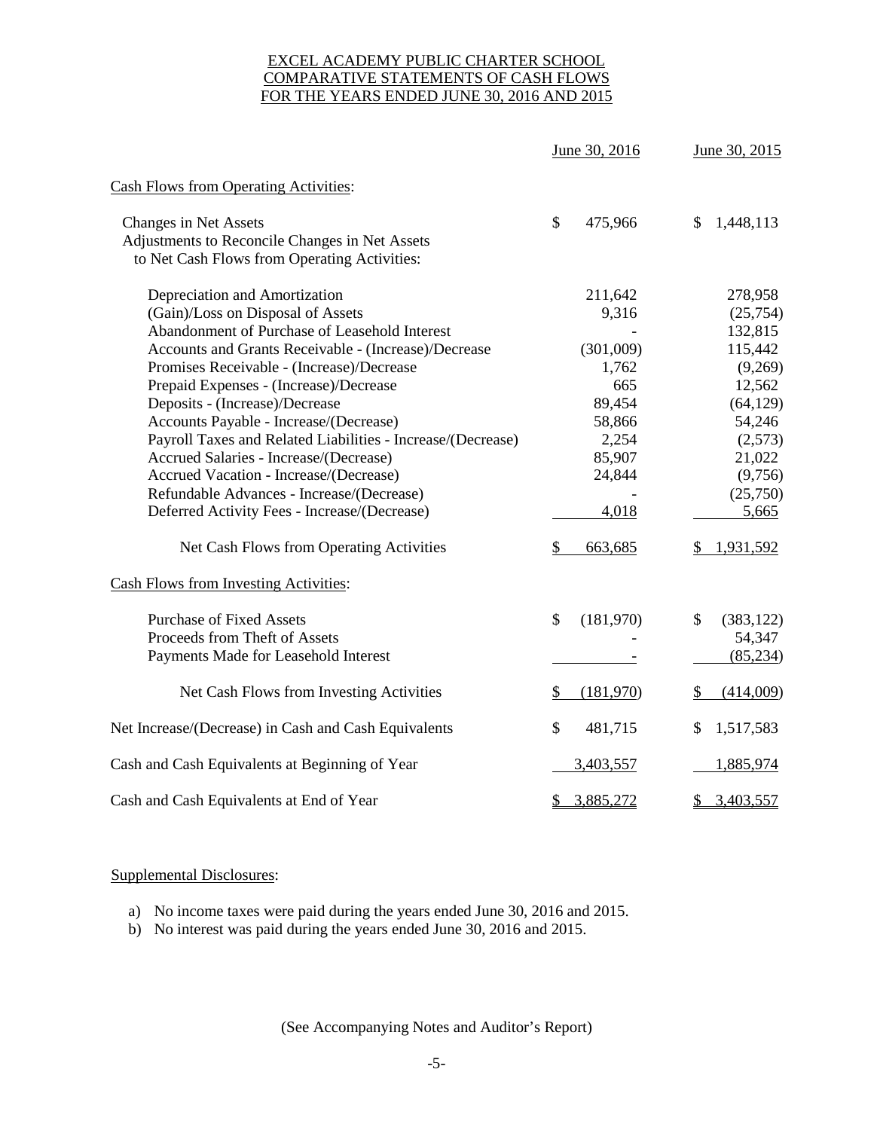# EXCEL ACADEMY PUBLIC CHARTER SCHOOL COMPARATIVE STATEMENTS OF CASH FLOWS FOR THE YEARS ENDED JUNE 30, 2016 AND 2015

|                                                             | June 30, 2016   | June 30, 2015    |  |
|-------------------------------------------------------------|-----------------|------------------|--|
| <b>Cash Flows from Operating Activities:</b>                |                 |                  |  |
| <b>Changes in Net Assets</b>                                | \$<br>475,966   | \$<br>1,448,113  |  |
| Adjustments to Reconcile Changes in Net Assets              |                 |                  |  |
| to Net Cash Flows from Operating Activities:                |                 |                  |  |
| Depreciation and Amortization                               | 211,642         | 278,958          |  |
| (Gain)/Loss on Disposal of Assets                           | 9,316           | (25,754)         |  |
| Abandonment of Purchase of Leasehold Interest               |                 | 132,815          |  |
| Accounts and Grants Receivable - (Increase)/Decrease        | (301,009)       | 115,442          |  |
| Promises Receivable - (Increase)/Decrease                   | 1,762           | (9,269)          |  |
| Prepaid Expenses - (Increase)/Decrease                      | 665             | 12,562           |  |
| Deposits - (Increase)/Decrease                              | 89,454          | (64, 129)        |  |
| Accounts Payable - Increase/(Decrease)                      | 58,866          | 54,246           |  |
| Payroll Taxes and Related Liabilities - Increase/(Decrease) | 2,254           | (2,573)          |  |
| Accrued Salaries - Increase/(Decrease)                      | 85,907          | 21,022           |  |
| Accrued Vacation - Increase/(Decrease)                      | 24,844          | (9,756)          |  |
| Refundable Advances - Increase/(Decrease)                   |                 | (25,750)         |  |
| Deferred Activity Fees - Increase/(Decrease)                | 4,018           | 5,665            |  |
| Net Cash Flows from Operating Activities                    | 663,685<br>\$   | 1,931,592<br>S   |  |
| <b>Cash Flows from Investing Activities:</b>                |                 |                  |  |
| <b>Purchase of Fixed Assets</b>                             | \$<br>(181,970) | \$<br>(383, 122) |  |
| Proceeds from Theft of Assets                               |                 | 54,347           |  |
| Payments Made for Leasehold Interest                        |                 | (85, 234)        |  |
| Net Cash Flows from Investing Activities                    | (181,970)<br>S  | (414,009)<br>\$  |  |
| Net Increase/(Decrease) in Cash and Cash Equivalents        | \$<br>481,715   | \$<br>1,517,583  |  |
| Cash and Cash Equivalents at Beginning of Year              | 3,403,557       | 1,885,974        |  |
| Cash and Cash Equivalents at End of Year                    | 3,885,272<br>\$ | 3,403,557<br>\$  |  |

# Supplemental Disclosures:

- a) No income taxes were paid during the years ended June 30, 2016 and 2015.
- b) No interest was paid during the years ended June 30, 2016 and 2015.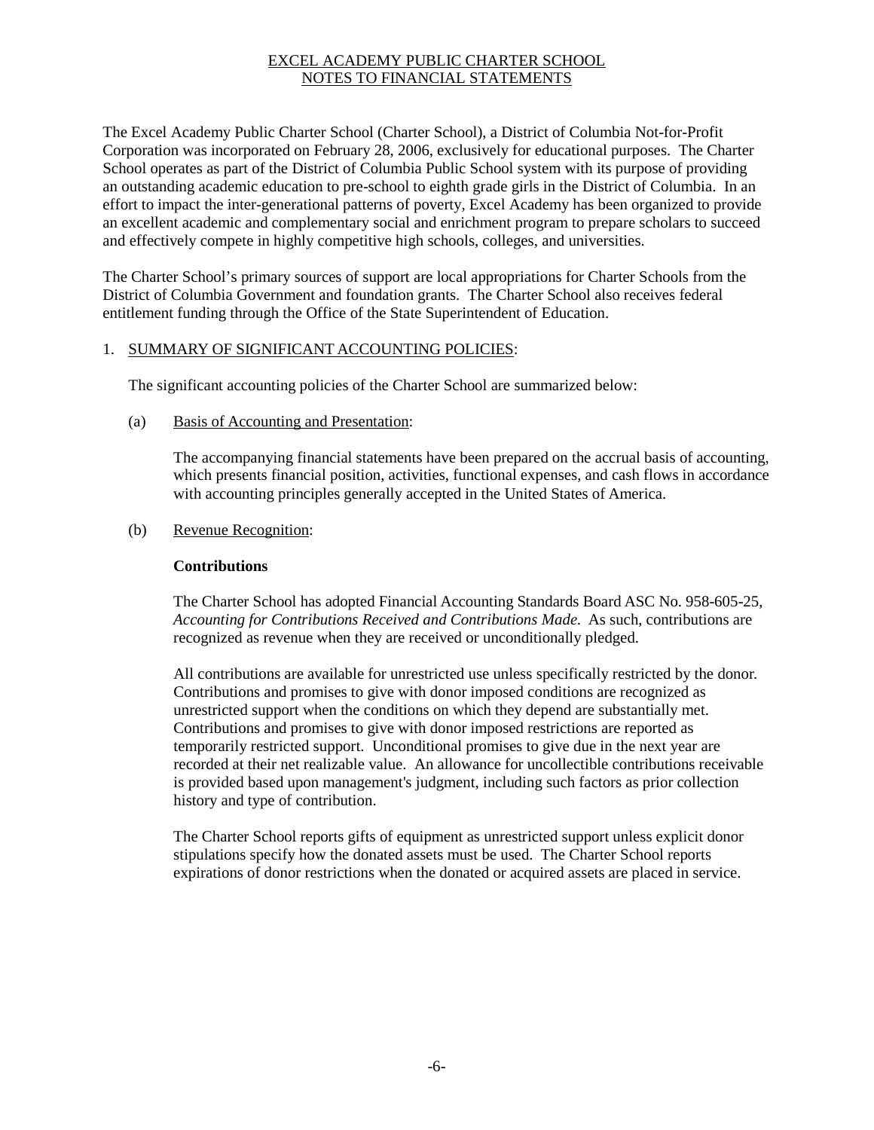The Excel Academy Public Charter School (Charter School), a District of Columbia Not-for-Profit Corporation was incorporated on February 28, 2006, exclusively for educational purposes. The Charter School operates as part of the District of Columbia Public School system with its purpose of providing an outstanding academic education to pre-school to eighth grade girls in the District of Columbia. In an effort to impact the inter-generational patterns of poverty, Excel Academy has been organized to provide an excellent academic and complementary social and enrichment program to prepare scholars to succeed and effectively compete in highly competitive high schools, colleges, and universities.

The Charter School's primary sources of support are local appropriations for Charter Schools from the District of Columbia Government and foundation grants. The Charter School also receives federal entitlement funding through the Office of the State Superintendent of Education.

# 1. SUMMARY OF SIGNIFICANT ACCOUNTING POLICIES:

The significant accounting policies of the Charter School are summarized below:

(a) Basis of Accounting and Presentation:

The accompanying financial statements have been prepared on the accrual basis of accounting, which presents financial position, activities, functional expenses, and cash flows in accordance with accounting principles generally accepted in the United States of America.

(b) Revenue Recognition:

## **Contributions**

The Charter School has adopted Financial Accounting Standards Board ASC No. 958-605-25, *Accounting for Contributions Received and Contributions Made.* As such, contributions are recognized as revenue when they are received or unconditionally pledged.

All contributions are available for unrestricted use unless specifically restricted by the donor. Contributions and promises to give with donor imposed conditions are recognized as unrestricted support when the conditions on which they depend are substantially met. Contributions and promises to give with donor imposed restrictions are reported as temporarily restricted support. Unconditional promises to give due in the next year are recorded at their net realizable value. An allowance for uncollectible contributions receivable is provided based upon management's judgment, including such factors as prior collection history and type of contribution.

The Charter School reports gifts of equipment as unrestricted support unless explicit donor stipulations specify how the donated assets must be used. The Charter School reports expirations of donor restrictions when the donated or acquired assets are placed in service.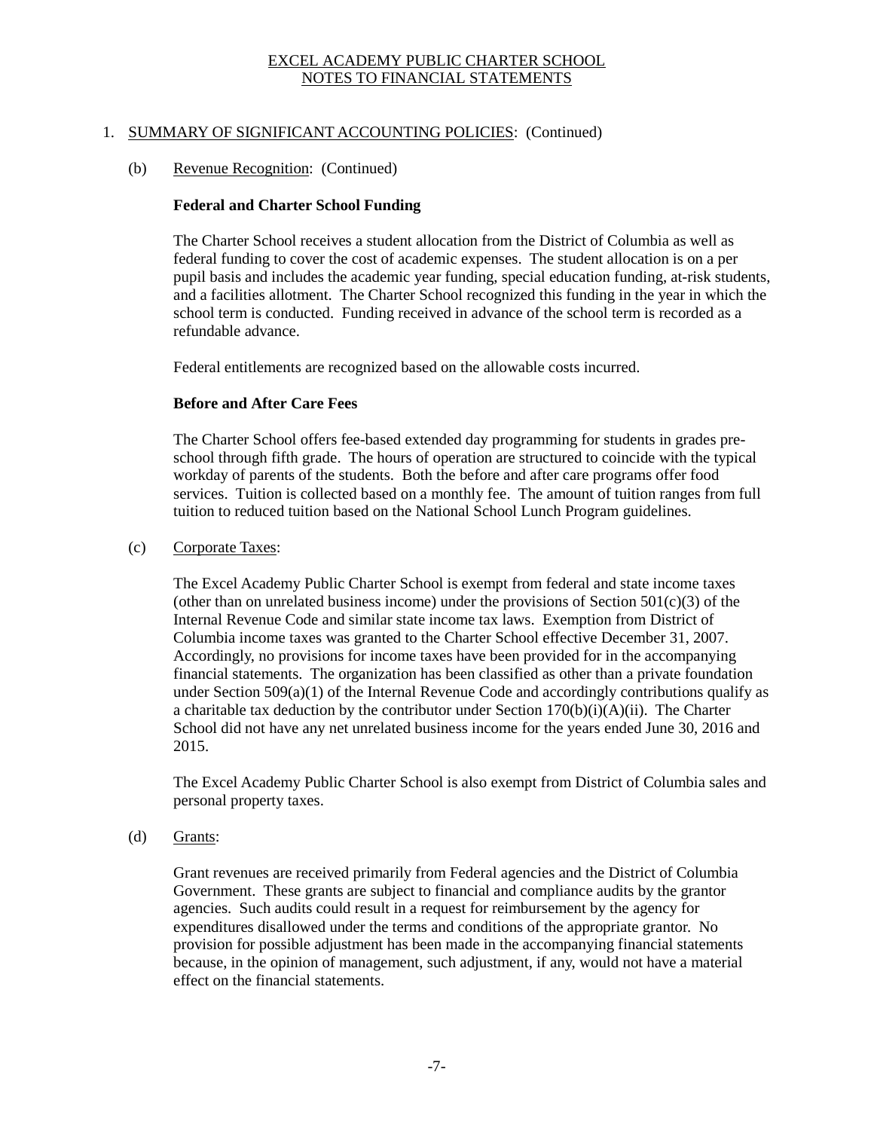# 1. SUMMARY OF SIGNIFICANT ACCOUNTING POLICIES: (Continued)

## (b) Revenue Recognition: (Continued)

# **Federal and Charter School Funding**

The Charter School receives a student allocation from the District of Columbia as well as federal funding to cover the cost of academic expenses. The student allocation is on a per pupil basis and includes the academic year funding, special education funding, at-risk students, and a facilities allotment. The Charter School recognized this funding in the year in which the school term is conducted. Funding received in advance of the school term is recorded as a refundable advance.

Federal entitlements are recognized based on the allowable costs incurred.

## **Before and After Care Fees**

The Charter School offers fee-based extended day programming for students in grades preschool through fifth grade. The hours of operation are structured to coincide with the typical workday of parents of the students. Both the before and after care programs offer food services. Tuition is collected based on a monthly fee. The amount of tuition ranges from full tuition to reduced tuition based on the National School Lunch Program guidelines.

## (c) Corporate Taxes:

The Excel Academy Public Charter School is exempt from federal and state income taxes (other than on unrelated business income) under the provisions of Section  $501(c)(3)$  of the Internal Revenue Code and similar state income tax laws. Exemption from District of Columbia income taxes was granted to the Charter School effective December 31, 2007. Accordingly, no provisions for income taxes have been provided for in the accompanying financial statements. The organization has been classified as other than a private foundation under Section  $509(a)(1)$  of the Internal Revenue Code and accordingly contributions qualify as a charitable tax deduction by the contributor under Section 170(b)(i)(A)(ii). The Charter School did not have any net unrelated business income for the years ended June 30, 2016 and 2015.

The Excel Academy Public Charter School is also exempt from District of Columbia sales and personal property taxes.

## (d) Grants:

Grant revenues are received primarily from Federal agencies and the District of Columbia Government. These grants are subject to financial and compliance audits by the grantor agencies. Such audits could result in a request for reimbursement by the agency for expenditures disallowed under the terms and conditions of the appropriate grantor. No provision for possible adjustment has been made in the accompanying financial statements because, in the opinion of management, such adjustment, if any, would not have a material effect on the financial statements.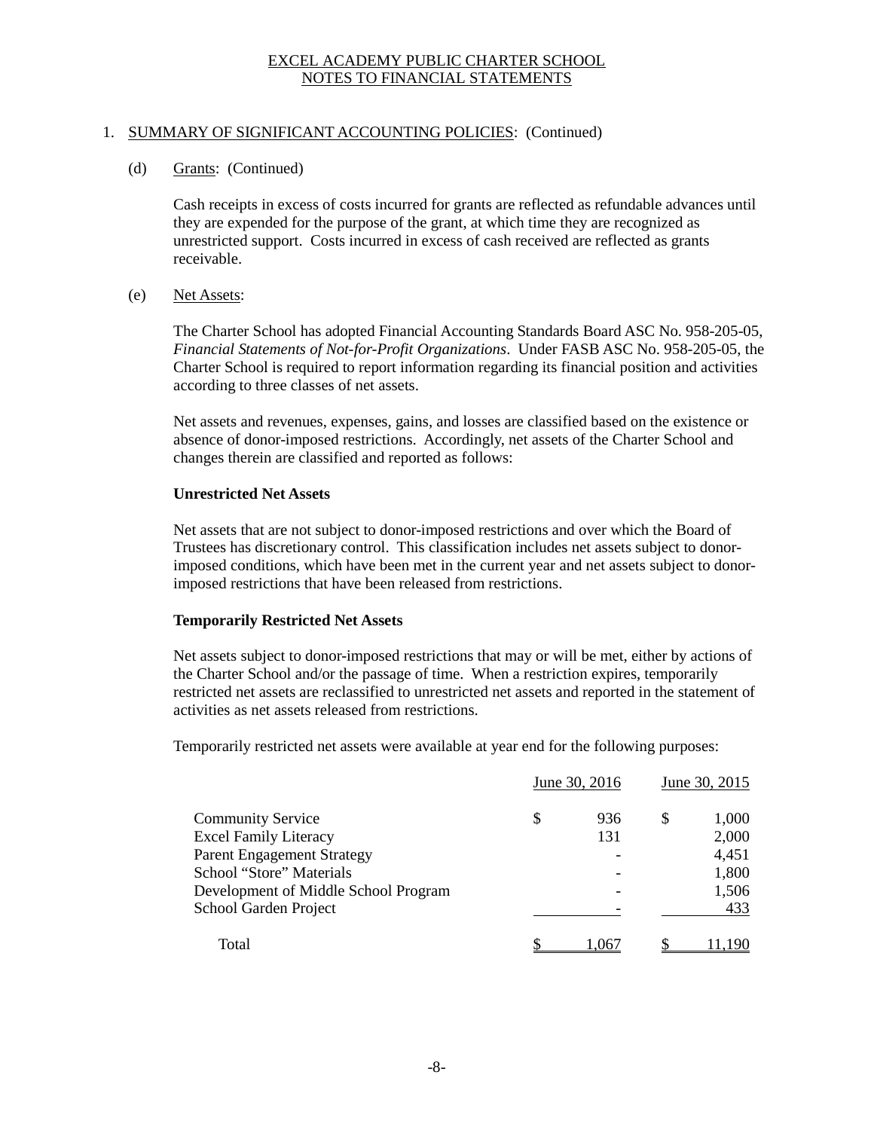# 1. SUMMARY OF SIGNIFICANT ACCOUNTING POLICIES: (Continued)

## (d) Grants: (Continued)

Cash receipts in excess of costs incurred for grants are reflected as refundable advances until they are expended for the purpose of the grant, at which time they are recognized as unrestricted support. Costs incurred in excess of cash received are reflected as grants receivable.

# (e) Net Assets:

The Charter School has adopted Financial Accounting Standards Board ASC No. 958-205-05, *Financial Statements of Not-for-Profit Organizations*. Under FASB ASC No. 958-205-05, the Charter School is required to report information regarding its financial position and activities according to three classes of net assets.

Net assets and revenues, expenses, gains, and losses are classified based on the existence or absence of donor-imposed restrictions. Accordingly, net assets of the Charter School and changes therein are classified and reported as follows:

# **Unrestricted Net Assets**

Net assets that are not subject to donor-imposed restrictions and over which the Board of Trustees has discretionary control. This classification includes net assets subject to donorimposed conditions, which have been met in the current year and net assets subject to donorimposed restrictions that have been released from restrictions.

## **Temporarily Restricted Net Assets**

Net assets subject to donor-imposed restrictions that may or will be met, either by actions of the Charter School and/or the passage of time. When a restriction expires, temporarily restricted net assets are reclassified to unrestricted net assets and reported in the statement of activities as net assets released from restrictions.

Temporarily restricted net assets were available at year end for the following purposes:

|                                      | June 30, 2016 | June 30, 2015 |
|--------------------------------------|---------------|---------------|
| <b>Community Service</b>             | \$<br>936     | \$<br>1,000   |
| <b>Excel Family Literacy</b>         | 131           | 2,000         |
| <b>Parent Engagement Strategy</b>    |               | 4,451         |
| School "Store" Materials             |               | 1,800         |
| Development of Middle School Program |               | 1,506         |
| School Garden Project                |               | 433           |
| Total                                | 1.067         | ' 1 190       |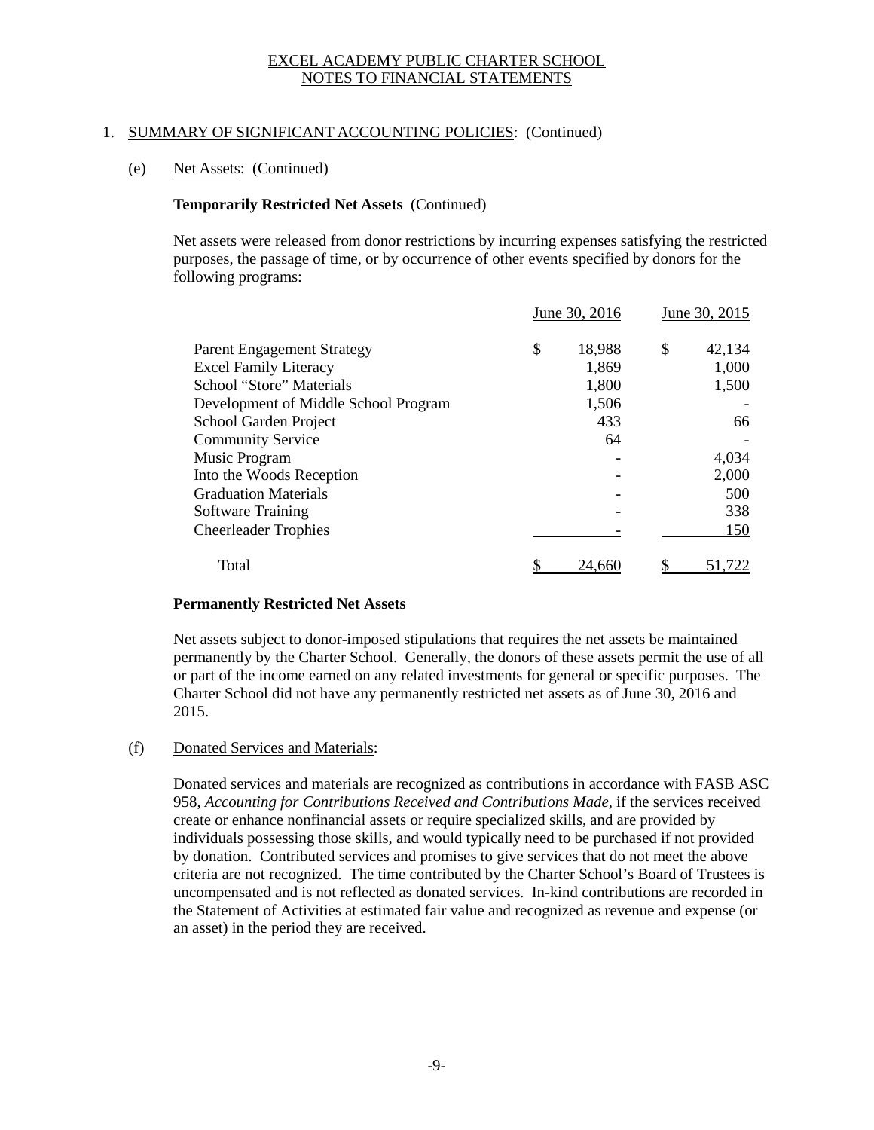# 1. SUMMARY OF SIGNIFICANT ACCOUNTING POLICIES: (Continued)

# (e) Net Assets: (Continued)

# **Temporarily Restricted Net Assets** (Continued)

Net assets were released from donor restrictions by incurring expenses satisfying the restricted purposes, the passage of time, or by occurrence of other events specified by donors for the following programs:

|                                      | June 30, 2016 | June 30, 2015 |
|--------------------------------------|---------------|---------------|
| <b>Parent Engagement Strategy</b>    | \$<br>18,988  | \$<br>42,134  |
| <b>Excel Family Literacy</b>         | 1,869         | 1,000         |
| School "Store" Materials             | 1,800         | 1,500         |
| Development of Middle School Program | 1,506         |               |
| School Garden Project                | 433           | 66            |
| <b>Community Service</b>             | 64            |               |
| Music Program                        |               | 4,034         |
| Into the Woods Reception             |               | 2,000         |
| <b>Graduation Materials</b>          |               | 500           |
| <b>Software Training</b>             |               | 338           |
| <b>Cheerleader Trophies</b>          |               | 150           |
| Total                                | 24.660        |               |

## **Permanently Restricted Net Assets**

Net assets subject to donor-imposed stipulations that requires the net assets be maintained permanently by the Charter School. Generally, the donors of these assets permit the use of all or part of the income earned on any related investments for general or specific purposes. The Charter School did not have any permanently restricted net assets as of June 30, 2016 and 2015.

## (f) Donated Services and Materials:

Donated services and materials are recognized as contributions in accordance with FASB ASC 958, *Accounting for Contributions Received and Contributions Made*, if the services received create or enhance nonfinancial assets or require specialized skills, and are provided by individuals possessing those skills, and would typically need to be purchased if not provided by donation. Contributed services and promises to give services that do not meet the above criteria are not recognized. The time contributed by the Charter School's Board of Trustees is uncompensated and is not reflected as donated services. In-kind contributions are recorded in the Statement of Activities at estimated fair value and recognized as revenue and expense (or an asset) in the period they are received.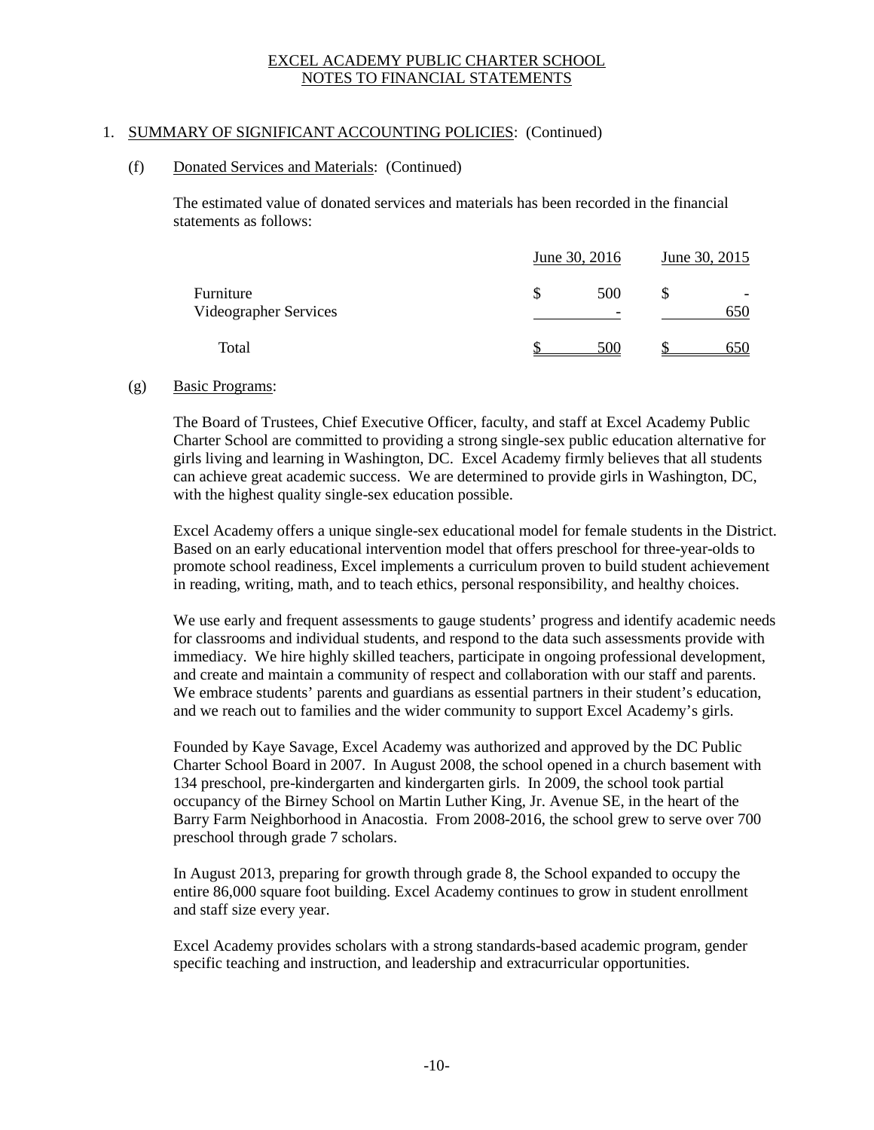# 1. SUMMARY OF SIGNIFICANT ACCOUNTING POLICIES: (Continued)

#### (f) Donated Services and Materials: (Continued)

The estimated value of donated services and materials has been recorded in the financial statements as follows:

| Furniture<br>Videographer Services | June 30, 2016 | June 30, 2015                   |  |          |
|------------------------------------|---------------|---------------------------------|--|----------|
|                                    |               | 500<br>$\overline{\phantom{0}}$ |  | -<br>650 |
| Total                              |               | 500                             |  | 650      |

#### (g) Basic Programs:

The Board of Trustees, Chief Executive Officer, faculty, and staff at Excel Academy Public Charter School are committed to providing a strong single-sex public education alternative for girls living and learning in Washington, DC. Excel Academy firmly believes that all students can achieve great academic success. We are determined to provide girls in Washington, DC, with the highest quality single-sex education possible.

Excel Academy offers a unique single-sex educational model for female students in the District. Based on an early educational intervention model that offers preschool for three-year-olds to promote school readiness, Excel implements a curriculum proven to build student achievement in reading, writing, math, and to teach ethics, personal responsibility, and healthy choices.

We use early and frequent assessments to gauge students' progress and identify academic needs for classrooms and individual students, and respond to the data such assessments provide with immediacy. We hire highly skilled teachers, participate in ongoing professional development, and create and maintain a community of respect and collaboration with our staff and parents. We embrace students' parents and guardians as essential partners in their student's education, and we reach out to families and the wider community to support Excel Academy's girls.

Founded by Kaye Savage, Excel Academy was authorized and approved by the DC Public Charter School Board in 2007. In August 2008, the school opened in a church basement with 134 preschool, pre-kindergarten and kindergarten girls. In 2009, the school took partial occupancy of the Birney School on Martin Luther King, Jr. Avenue SE, in the heart of the Barry Farm Neighborhood in Anacostia. From 2008-2016, the school grew to serve over 700 preschool through grade 7 scholars.

In August 2013, preparing for growth through grade 8, the School expanded to occupy the entire 86,000 square foot building. Excel Academy continues to grow in student enrollment and staff size every year.

Excel Academy provides scholars with a strong standards-based academic program, gender specific teaching and instruction, and leadership and extracurricular opportunities.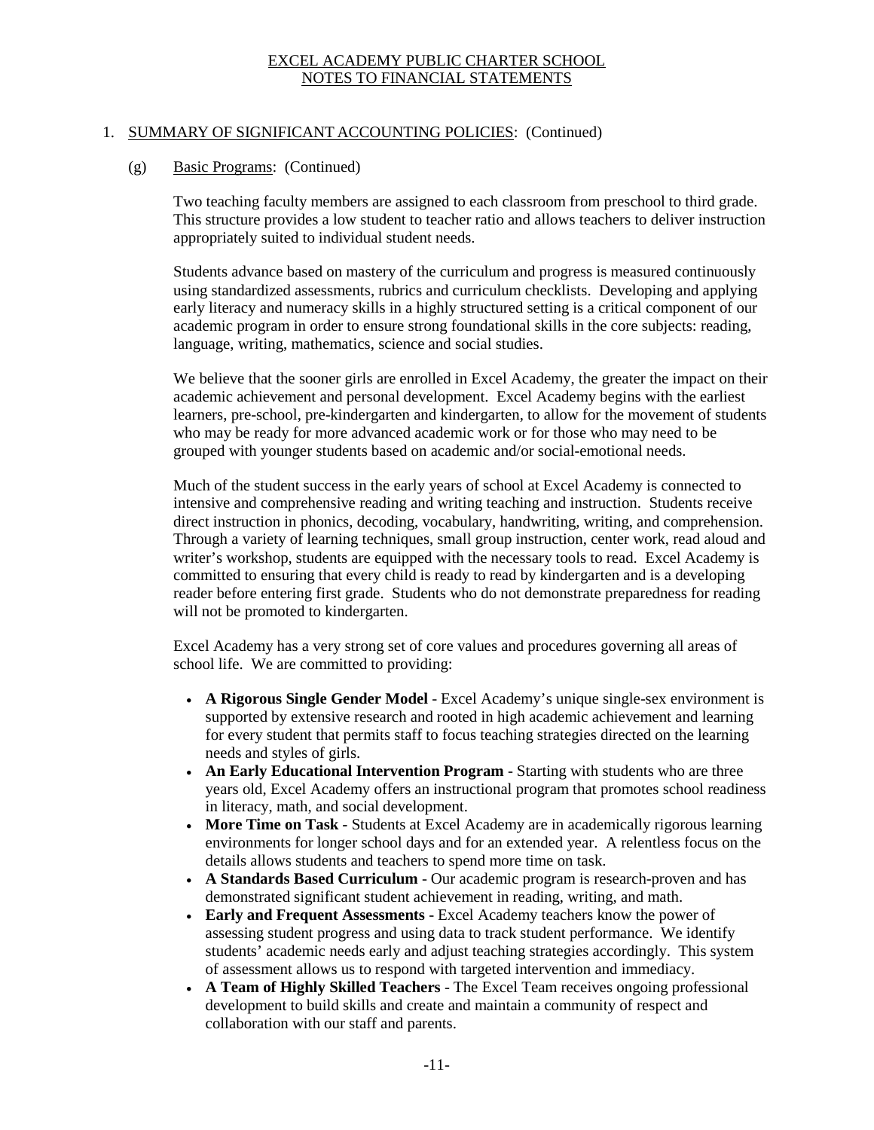# 1. SUMMARY OF SIGNIFICANT ACCOUNTING POLICIES: (Continued)

# (g) Basic Programs: (Continued)

Two teaching faculty members are assigned to each classroom from preschool to third grade. This structure provides a low student to teacher ratio and allows teachers to deliver instruction appropriately suited to individual student needs.

Students advance based on mastery of the curriculum and progress is measured continuously using standardized assessments, rubrics and curriculum checklists. Developing and applying early literacy and numeracy skills in a highly structured setting is a critical component of our academic program in order to ensure strong foundational skills in the core subjects: reading, language, writing, mathematics, science and social studies.

We believe that the sooner girls are enrolled in Excel Academy, the greater the impact on their academic achievement and personal development. Excel Academy begins with the earliest learners, pre-school, pre-kindergarten and kindergarten, to allow for the movement of students who may be ready for more advanced academic work or for those who may need to be grouped with younger students based on academic and/or social-emotional needs.

Much of the student success in the early years of school at Excel Academy is connected to intensive and comprehensive reading and writing teaching and instruction. Students receive direct instruction in phonics, decoding, vocabulary, handwriting, writing, and comprehension. Through a variety of learning techniques, small group instruction, center work, read aloud and writer's workshop, students are equipped with the necessary tools to read. Excel Academy is committed to ensuring that every child is ready to read by kindergarten and is a developing reader before entering first grade. Students who do not demonstrate preparedness for reading will not be promoted to kindergarten.

Excel Academy has a very strong set of core values and procedures governing all areas of school life. We are committed to providing:

- **A Rigorous Single Gender Model** Excel Academy's unique single-sex environment is supported by extensive research and rooted in high academic achievement and learning for every student that permits staff to focus teaching strategies directed on the learning needs and styles of girls.
- **An Early Educational Intervention Program** Starting with students who are three years old, Excel Academy offers an instructional program that promotes school readiness in literacy, math, and social development.
- **More Time on Task** *-* Students at Excel Academy are in academically rigorous learning environments for longer school days and for an extended year. A relentless focus on the details allows students and teachers to spend more time on task.
- **A Standards Based Curriculum** Our academic program is research-proven and has demonstrated significant student achievement in reading, writing, and math.
- **Early and Frequent Assessments** Excel Academy teachers know the power of assessing student progress and using data to track student performance. We identify students' academic needs early and adjust teaching strategies accordingly. This system of assessment allows us to respond with targeted intervention and immediacy.
- **A Team of Highly Skilled Teachers** The Excel Team receives ongoing professional development to build skills and create and maintain a community of respect and collaboration with our staff and parents.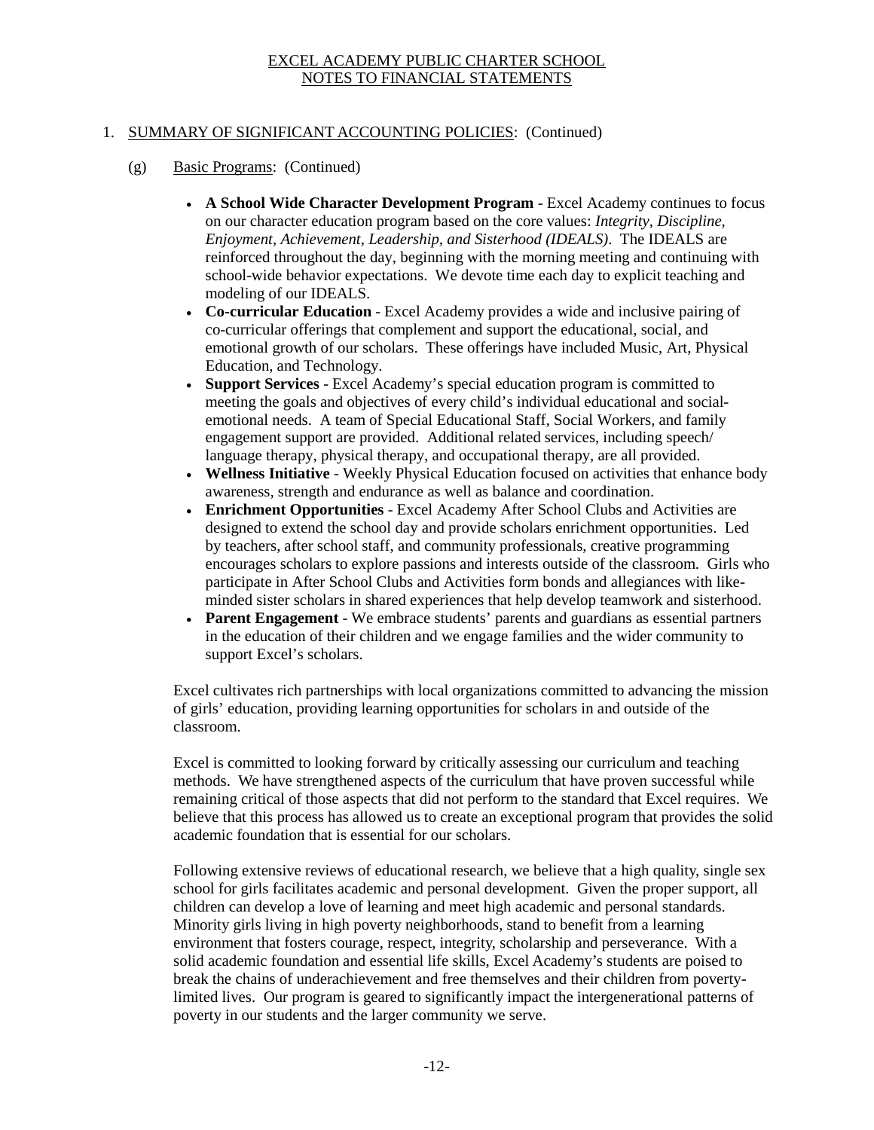# 1. SUMMARY OF SIGNIFICANT ACCOUNTING POLICIES: (Continued)

- (g) Basic Programs: (Continued)
	- **A School Wide Character Development Program** Excel Academy continues to focus on our character education program based on the core values: *Integrity, Discipline, Enjoyment, Achievement, Leadership, and Sisterhood (IDEALS)*. The IDEALS are reinforced throughout the day, beginning with the morning meeting and continuing with school-wide behavior expectations. We devote time each day to explicit teaching and modeling of our IDEALS.
	- **Co-curricular Education** Excel Academy provides a wide and inclusive pairing of co-curricular offerings that complement and support the educational, social, and emotional growth of our scholars. These offerings have included Music, Art, Physical Education, and Technology.
	- **Support Services** Excel Academy's special education program is committed to meeting the goals and objectives of every child's individual educational and socialemotional needs. A team of Special Educational Staff, Social Workers, and family engagement support are provided. Additional related services, including speech/ language therapy, physical therapy, and occupational therapy, are all provided.
	- **Wellness Initiative** Weekly Physical Education focused on activities that enhance body awareness, strength and endurance as well as balance and coordination.
	- **Enrichment Opportunities** Excel Academy After School Clubs and Activities are designed to extend the school day and provide scholars enrichment opportunities. Led by teachers, after school staff, and community professionals, creative programming encourages scholars to explore passions and interests outside of the classroom. Girls who participate in After School Clubs and Activities form bonds and allegiances with likeminded sister scholars in shared experiences that help develop teamwork and sisterhood.
	- Parent Engagement We embrace students' parents and guardians as essential partners in the education of their children and we engage families and the wider community to support Excel's scholars.

Excel cultivates rich partnerships with local organizations committed to advancing the mission of girls' education, providing learning opportunities for scholars in and outside of the classroom.

Excel is committed to looking forward by critically assessing our curriculum and teaching methods. We have strengthened aspects of the curriculum that have proven successful while remaining critical of those aspects that did not perform to the standard that Excel requires. We believe that this process has allowed us to create an exceptional program that provides the solid academic foundation that is essential for our scholars.

Following extensive reviews of educational research, we believe that a high quality, single sex school for girls facilitates academic and personal development. Given the proper support, all children can develop a love of learning and meet high academic and personal standards. Minority girls living in high poverty neighborhoods, stand to benefit from a learning environment that fosters courage, respect, integrity, scholarship and perseverance. With a solid academic foundation and essential life skills, Excel Academy's students are poised to break the chains of underachievement and free themselves and their children from povertylimited lives. Our program is geared to significantly impact the intergenerational patterns of poverty in our students and the larger community we serve.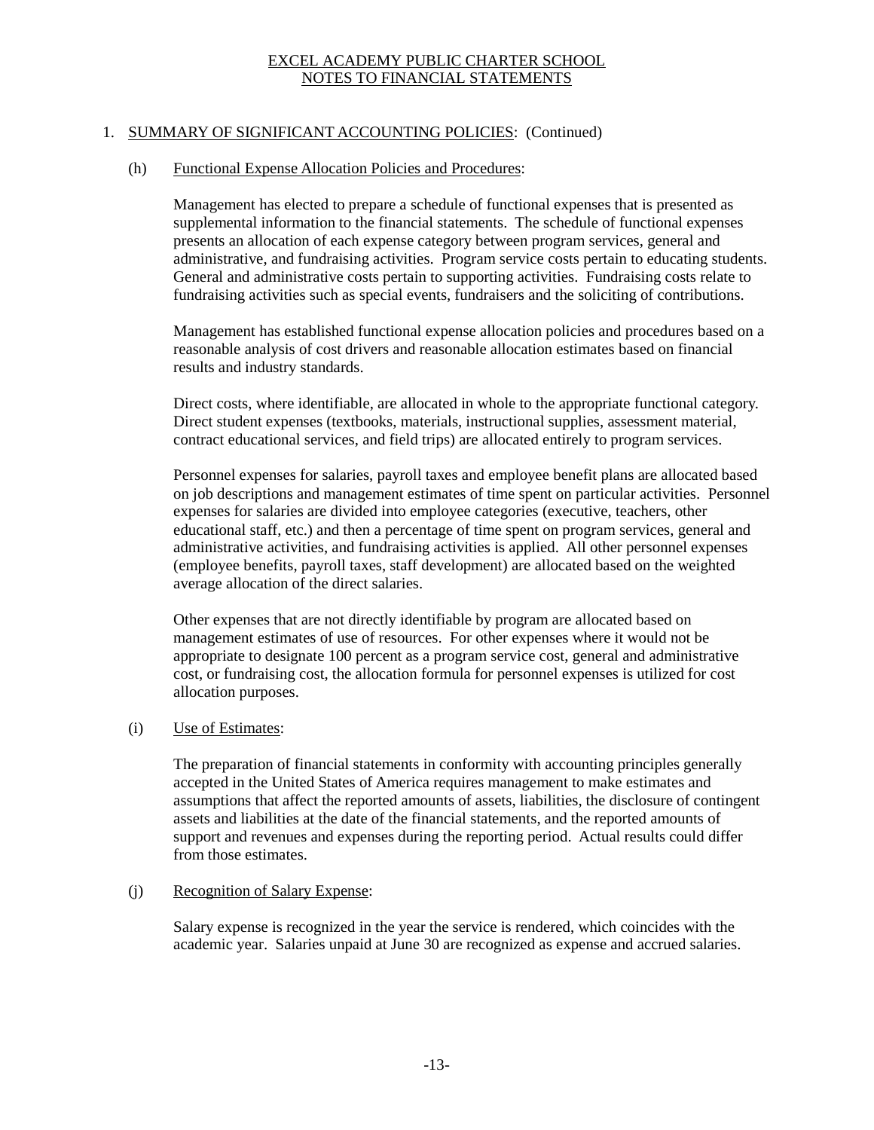# 1. SUMMARY OF SIGNIFICANT ACCOUNTING POLICIES: (Continued)

# (h) Functional Expense Allocation Policies and Procedures:

Management has elected to prepare a schedule of functional expenses that is presented as supplemental information to the financial statements. The schedule of functional expenses presents an allocation of each expense category between program services, general and administrative, and fundraising activities. Program service costs pertain to educating students. General and administrative costs pertain to supporting activities. Fundraising costs relate to fundraising activities such as special events, fundraisers and the soliciting of contributions.

Management has established functional expense allocation policies and procedures based on a reasonable analysis of cost drivers and reasonable allocation estimates based on financial results and industry standards.

Direct costs, where identifiable, are allocated in whole to the appropriate functional category. Direct student expenses (textbooks, materials, instructional supplies, assessment material, contract educational services, and field trips) are allocated entirely to program services.

Personnel expenses for salaries, payroll taxes and employee benefit plans are allocated based on job descriptions and management estimates of time spent on particular activities. Personnel expenses for salaries are divided into employee categories (executive, teachers, other educational staff, etc.) and then a percentage of time spent on program services, general and administrative activities, and fundraising activities is applied. All other personnel expenses (employee benefits, payroll taxes, staff development) are allocated based on the weighted average allocation of the direct salaries.

Other expenses that are not directly identifiable by program are allocated based on management estimates of use of resources. For other expenses where it would not be appropriate to designate 100 percent as a program service cost, general and administrative cost, or fundraising cost, the allocation formula for personnel expenses is utilized for cost allocation purposes.

## (i) Use of Estimates:

The preparation of financial statements in conformity with accounting principles generally accepted in the United States of America requires management to make estimates and assumptions that affect the reported amounts of assets, liabilities, the disclosure of contingent assets and liabilities at the date of the financial statements, and the reported amounts of support and revenues and expenses during the reporting period. Actual results could differ from those estimates.

# (j) Recognition of Salary Expense:

Salary expense is recognized in the year the service is rendered, which coincides with the academic year. Salaries unpaid at June 30 are recognized as expense and accrued salaries.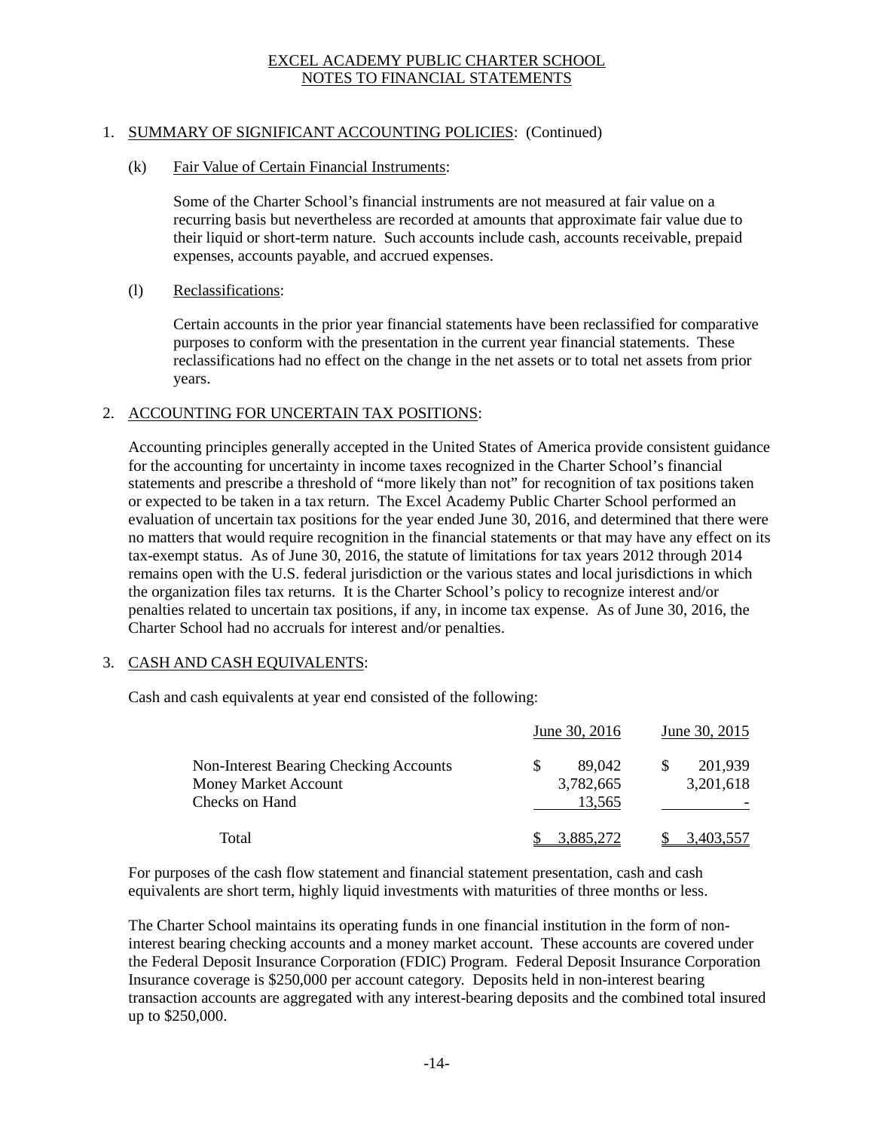# 1. SUMMARY OF SIGNIFICANT ACCOUNTING POLICIES: (Continued)

# (k) Fair Value of Certain Financial Instruments:

Some of the Charter School's financial instruments are not measured at fair value on a recurring basis but nevertheless are recorded at amounts that approximate fair value due to their liquid or short-term nature. Such accounts include cash, accounts receivable, prepaid expenses, accounts payable, and accrued expenses.

# (l) Reclassifications:

Certain accounts in the prior year financial statements have been reclassified for comparative purposes to conform with the presentation in the current year financial statements. These reclassifications had no effect on the change in the net assets or to total net assets from prior years.

# 2. ACCOUNTING FOR UNCERTAIN TAX POSITIONS:

Accounting principles generally accepted in the United States of America provide consistent guidance for the accounting for uncertainty in income taxes recognized in the Charter School's financial statements and prescribe a threshold of "more likely than not" for recognition of tax positions taken or expected to be taken in a tax return. The Excel Academy Public Charter School performed an evaluation of uncertain tax positions for the year ended June 30, 2016, and determined that there were no matters that would require recognition in the financial statements or that may have any effect on its tax-exempt status. As of June 30, 2016, the statute of limitations for tax years 2012 through 2014 remains open with the U.S. federal jurisdiction or the various states and local jurisdictions in which the organization files tax returns. It is the Charter School's policy to recognize interest and/or penalties related to uncertain tax positions, if any, in income tax expense. As of June 30, 2016, the Charter School had no accruals for interest and/or penalties.

## 3. CASH AND CASH EQUIVALENTS:

Cash and cash equivalents at year end consisted of the following:

|                                                                                         | June 30, 2016                 | June 30, 2015        |
|-----------------------------------------------------------------------------------------|-------------------------------|----------------------|
| Non-Interest Bearing Checking Accounts<br><b>Money Market Account</b><br>Checks on Hand | 89.042<br>3,782,665<br>13.565 | 201,939<br>3,201,618 |
| Total                                                                                   | 3,885,272                     | 3,403,557            |

For purposes of the cash flow statement and financial statement presentation, cash and cash equivalents are short term, highly liquid investments with maturities of three months or less.

The Charter School maintains its operating funds in one financial institution in the form of noninterest bearing checking accounts and a money market account. These accounts are covered under the Federal Deposit Insurance Corporation (FDIC) Program. Federal Deposit Insurance Corporation Insurance coverage is \$250,000 per account category. Deposits held in non-interest bearing transaction accounts are aggregated with any interest-bearing deposits and the combined total insured up to \$250,000.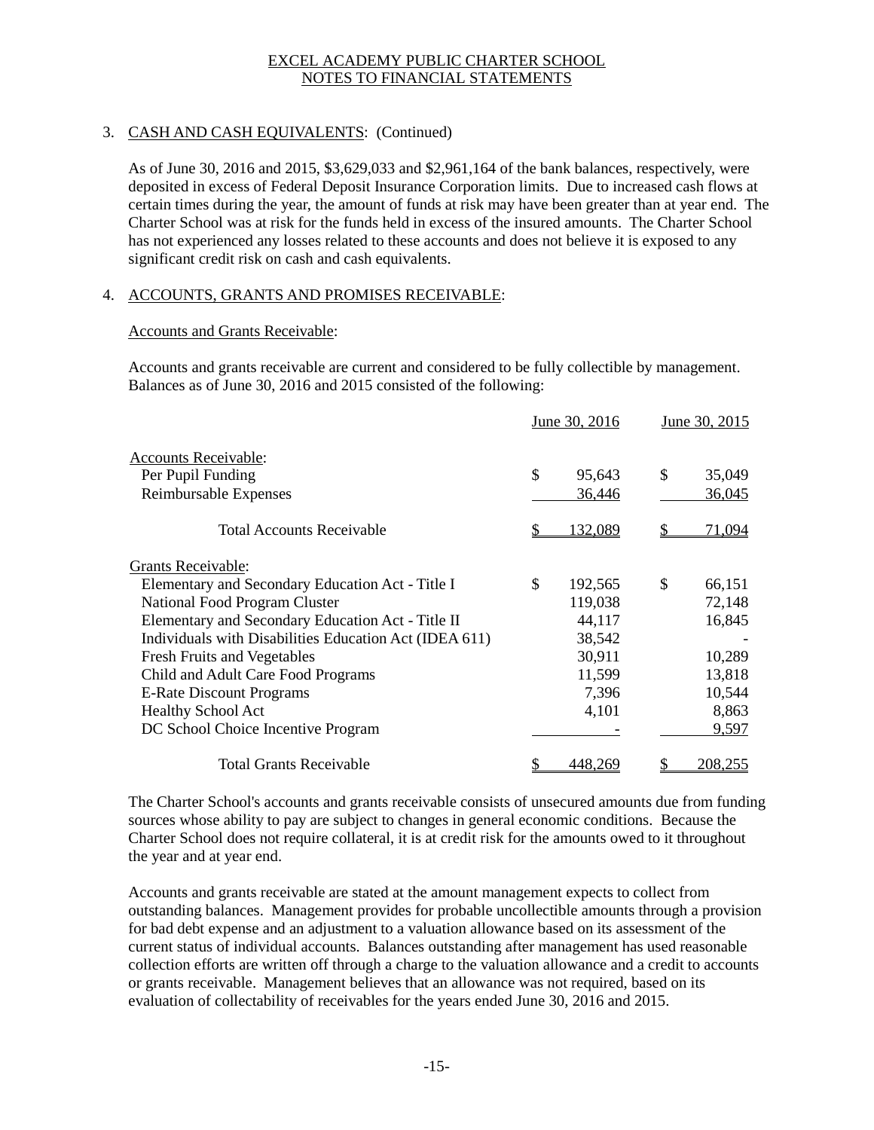# 3. CASH AND CASH EQUIVALENTS: (Continued)

As of June 30, 2016 and 2015, \$3,629,033 and \$2,961,164 of the bank balances, respectively, were deposited in excess of Federal Deposit Insurance Corporation limits. Due to increased cash flows at certain times during the year, the amount of funds at risk may have been greater than at year end. The Charter School was at risk for the funds held in excess of the insured amounts. The Charter School has not experienced any losses related to these accounts and does not believe it is exposed to any significant credit risk on cash and cash equivalents.

# 4. ACCOUNTS, GRANTS AND PROMISES RECEIVABLE:

# Accounts and Grants Receivable:

Accounts and grants receivable are current and considered to be fully collectible by management. Balances as of June 30, 2016 and 2015 consisted of the following:

|                                                                    | June 30, 2016          | June 30, 2015          |
|--------------------------------------------------------------------|------------------------|------------------------|
| Accounts Receivable:<br>Per Pupil Funding<br>Reimbursable Expenses | \$<br>95,643<br>36,446 | \$<br>35,049<br>36,045 |
| <b>Total Accounts Receivable</b>                                   | 132,089                | 71,094                 |
| <b>Grants Receivable:</b>                                          |                        |                        |
| Elementary and Secondary Education Act - Title I                   | \$<br>192,565          | \$<br>66,151           |
| National Food Program Cluster                                      | 119,038                | 72,148                 |
| Elementary and Secondary Education Act - Title II                  | 44,117                 | 16,845                 |
| Individuals with Disabilities Education Act (IDEA 611)             | 38,542                 |                        |
| Fresh Fruits and Vegetables                                        | 30,911                 | 10,289                 |
| Child and Adult Care Food Programs                                 | 11,599                 | 13,818                 |
| <b>E-Rate Discount Programs</b>                                    | 7,396                  | 10,544                 |
| <b>Healthy School Act</b>                                          | 4,101                  | 8,863                  |
| DC School Choice Incentive Program                                 |                        | 9,597                  |
| <b>Total Grants Receivable</b>                                     |                        | <u>208,255</u>         |

The Charter School's accounts and grants receivable consists of unsecured amounts due from funding sources whose ability to pay are subject to changes in general economic conditions. Because the Charter School does not require collateral, it is at credit risk for the amounts owed to it throughout the year and at year end.

Accounts and grants receivable are stated at the amount management expects to collect from outstanding balances. Management provides for probable uncollectible amounts through a provision for bad debt expense and an adjustment to a valuation allowance based on its assessment of the current status of individual accounts. Balances outstanding after management has used reasonable collection efforts are written off through a charge to the valuation allowance and a credit to accounts or grants receivable. Management believes that an allowance was not required, based on its evaluation of collectability of receivables for the years ended June 30, 2016 and 2015.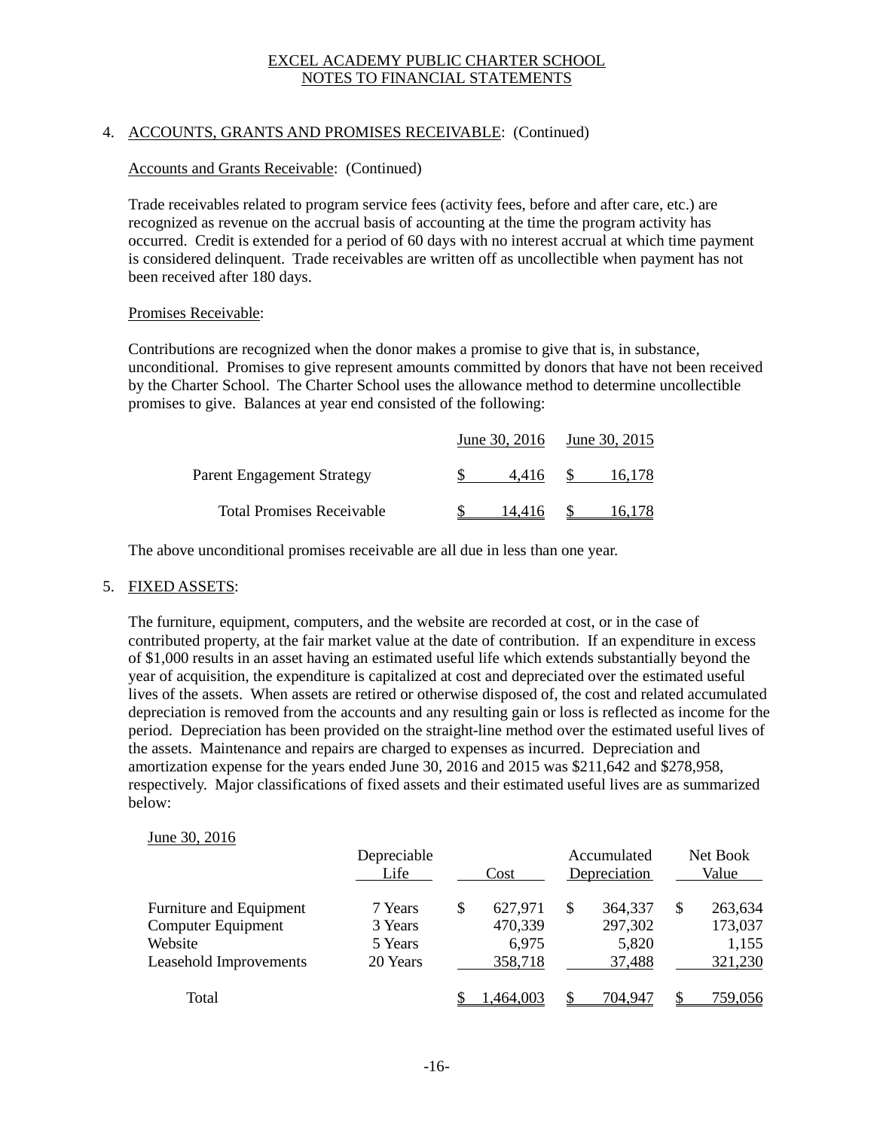# 4. ACCOUNTS, GRANTS AND PROMISES RECEIVABLE: (Continued)

## Accounts and Grants Receivable: (Continued)

Trade receivables related to program service fees (activity fees, before and after care, etc.) are recognized as revenue on the accrual basis of accounting at the time the program activity has occurred. Credit is extended for a period of 60 days with no interest accrual at which time payment is considered delinquent. Trade receivables are written off as uncollectible when payment has not been received after 180 days.

#### Promises Receivable:

Contributions are recognized when the donor makes a promise to give that is, in substance, unconditional. Promises to give represent amounts committed by donors that have not been received by the Charter School. The Charter School uses the allowance method to determine uncollectible promises to give. Balances at year end consisted of the following:

|                                  | June 30, 2016 June 30, 2015 |        |  |        |  |  |
|----------------------------------|-----------------------------|--------|--|--------|--|--|
| Parent Engagement Strategy       |                             | 4.416  |  | 16.178 |  |  |
| <b>Total Promises Receivable</b> |                             | 14.416 |  | 16.178 |  |  |

The above unconditional promises receivable are all due in less than one year.

## 5. FIXED ASSETS:

The furniture, equipment, computers, and the website are recorded at cost, or in the case of contributed property, at the fair market value at the date of contribution. If an expenditure in excess of \$1,000 results in an asset having an estimated useful life which extends substantially beyond the year of acquisition, the expenditure is capitalized at cost and depreciated over the estimated useful lives of the assets. When assets are retired or otherwise disposed of, the cost and related accumulated depreciation is removed from the accounts and any resulting gain or loss is reflected as income for the period. Depreciation has been provided on the straight-line method over the estimated useful lives of the assets. Maintenance and repairs are charged to expenses as incurred. Depreciation and amortization expense for the years ended June 30, 2016 and 2015 was \$211,642 and \$278,958, respectively. Major classifications of fixed assets and their estimated useful lives are as summarized below:

#### June 30, 2016

|                                                          | Depreciable<br>Life           | Cost |                             | Accumulated<br>Depreciation |                             | Net Book<br>Value |                             |
|----------------------------------------------------------|-------------------------------|------|-----------------------------|-----------------------------|-----------------------------|-------------------|-----------------------------|
| Furniture and Equipment<br>Computer Equipment<br>Website | 7 Years<br>3 Years<br>5 Years | \$   | 627,971<br>470,339<br>6,975 | S                           | 364,337<br>297,302<br>5,820 | \$                | 263,634<br>173,037<br>1,155 |
| Leasehold Improvements                                   | 20 Years                      |      | 358,718                     |                             | 37,488                      |                   | 321,230                     |
| Total                                                    |                               |      | .464,003                    |                             | 704.947                     |                   | 759,056                     |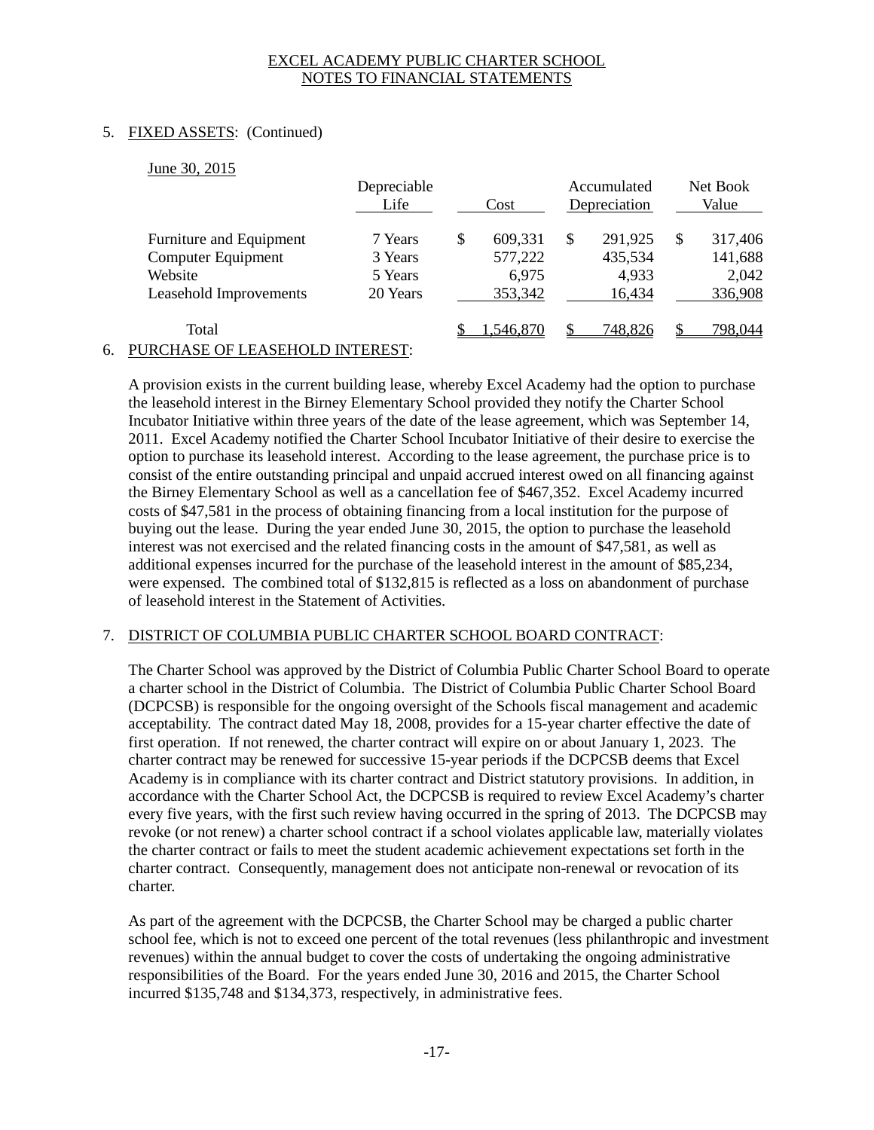# 5. FIXED ASSETS: (Continued)

#### June 30, 2015

|                                            | Depreciable<br>Life<br>Cost |   |           | Accumulated<br>Depreciation |         |    | Net Book<br>Value |
|--------------------------------------------|-----------------------------|---|-----------|-----------------------------|---------|----|-------------------|
| Furniture and Equipment                    | 7 Years                     | S | 609,331   | S                           | 291,925 | \$ | 317,406           |
| Computer Equipment                         | 3 Years                     |   | 577,222   |                             | 435,534 |    | 141,688           |
| Website                                    | 5 Years                     |   | 6,975     |                             | 4,933   |    | 2,042             |
| Leasehold Improvements                     | 20 Years                    |   | 353,342   |                             | 16,434  |    | 336,908           |
| Total                                      |                             |   | 1.546.870 |                             | 748,826 |    | 798.044           |
| JID QILLAD AD L<br><b>PLOTUOLD BURDEOR</b> |                             |   |           |                             |         |    |                   |

## 6. PURCHASE OF LEASEHOLD INTEREST:

A provision exists in the current building lease, whereby Excel Academy had the option to purchase the leasehold interest in the Birney Elementary School provided they notify the Charter School Incubator Initiative within three years of the date of the lease agreement, which was September 14, 2011. Excel Academy notified the Charter School Incubator Initiative of their desire to exercise the option to purchase its leasehold interest. According to the lease agreement, the purchase price is to consist of the entire outstanding principal and unpaid accrued interest owed on all financing against the Birney Elementary School as well as a cancellation fee of \$467,352. Excel Academy incurred costs of \$47,581 in the process of obtaining financing from a local institution for the purpose of buying out the lease. During the year ended June 30, 2015, the option to purchase the leasehold interest was not exercised and the related financing costs in the amount of \$47,581, as well as additional expenses incurred for the purchase of the leasehold interest in the amount of \$85,234, were expensed. The combined total of \$132,815 is reflected as a loss on abandonment of purchase of leasehold interest in the Statement of Activities.

# 7. DISTRICT OF COLUMBIA PUBLIC CHARTER SCHOOL BOARD CONTRACT:

The Charter School was approved by the District of Columbia Public Charter School Board to operate a charter school in the District of Columbia. The District of Columbia Public Charter School Board (DCPCSB) is responsible for the ongoing oversight of the Schools fiscal management and academic acceptability. The contract dated May 18, 2008, provides for a 15-year charter effective the date of first operation. If not renewed, the charter contract will expire on or about January 1, 2023. The charter contract may be renewed for successive 15-year periods if the DCPCSB deems that Excel Academy is in compliance with its charter contract and District statutory provisions. In addition, in accordance with the Charter School Act, the DCPCSB is required to review Excel Academy's charter every five years, with the first such review having occurred in the spring of 2013. The DCPCSB may revoke (or not renew) a charter school contract if a school violates applicable law, materially violates the charter contract or fails to meet the student academic achievement expectations set forth in the charter contract. Consequently, management does not anticipate non-renewal or revocation of its charter.

As part of the agreement with the DCPCSB, the Charter School may be charged a public charter school fee, which is not to exceed one percent of the total revenues (less philanthropic and investment revenues) within the annual budget to cover the costs of undertaking the ongoing administrative responsibilities of the Board. For the years ended June 30, 2016 and 2015, the Charter School incurred \$135,748 and \$134,373, respectively, in administrative fees.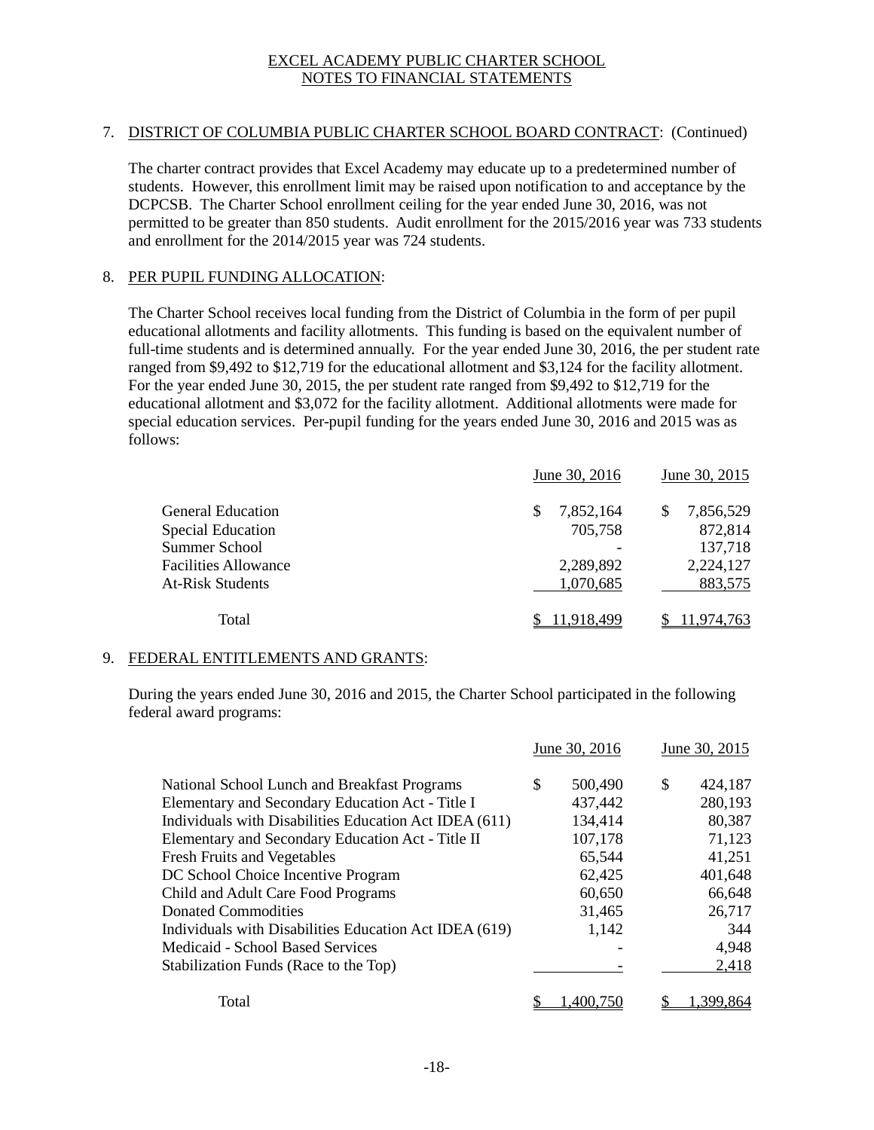# 7. DISTRICT OF COLUMBIA PUBLIC CHARTER SCHOOL BOARD CONTRACT: (Continued)

The charter contract provides that Excel Academy may educate up to a predetermined number of students. However, this enrollment limit may be raised upon notification to and acceptance by the DCPCSB. The Charter School enrollment ceiling for the year ended June 30, 2016, was not permitted to be greater than 850 students. Audit enrollment for the 2015/2016 year was 733 students and enrollment for the 2014/2015 year was 724 students.

## 8. PER PUPIL FUNDING ALLOCATION:

The Charter School receives local funding from the District of Columbia in the form of per pupil educational allotments and facility allotments. This funding is based on the equivalent number of full-time students and is determined annually. For the year ended June 30, 2016, the per student rate ranged from \$9,492 to \$12,719 for the educational allotment and \$3,124 for the facility allotment. For the year ended June 30, 2015, the per student rate ranged from \$9,492 to \$12,719 for the educational allotment and \$3,072 for the facility allotment. Additional allotments were made for special education services. Per-pupil funding for the years ended June 30, 2016 and 2015 was as follows:

|                             | June 30, 2016 | June 30, 2015  |
|-----------------------------|---------------|----------------|
| <b>General Education</b>    | 7,852,164     | 7,856,529<br>S |
| <b>Special Education</b>    | 705,758       | 872,814        |
| <b>Summer School</b>        |               | 137,718        |
| <b>Facilities Allowance</b> | 2,289,892     | 2,224,127      |
| <b>At-Risk Students</b>     | 1,070,685     | 883,575        |
| Total                       | 11.918.499    | 11,974,763     |

# 9. FEDERAL ENTITLEMENTS AND GRANTS:

During the years ended June 30, 2016 and 2015, the Charter School participated in the following federal award programs:

|                                                        | June 30, 2016 | June 30, 2015 |
|--------------------------------------------------------|---------------|---------------|
| National School Lunch and Breakfast Programs           | \$<br>500,490 | \$<br>424,187 |
| Elementary and Secondary Education Act - Title I       | 437,442       | 280,193       |
| Individuals with Disabilities Education Act IDEA (611) | 134,414       | 80,387        |
| Elementary and Secondary Education Act - Title II      | 107,178       | 71,123        |
| <b>Fresh Fruits and Vegetables</b>                     | 65,544        | 41,251        |
| DC School Choice Incentive Program                     | 62,425        | 401,648       |
| Child and Adult Care Food Programs                     | 60,650        | 66,648        |
| Donated Commodities                                    | 31,465        | 26,717        |
| Individuals with Disabilities Education Act IDEA (619) | 1,142         | 344           |
| Medicaid - School Based Services                       |               | 4,948         |
| Stabilization Funds (Race to the Top)                  |               | 2,418         |
| Total                                                  | 1.400.750     | 1.399.864     |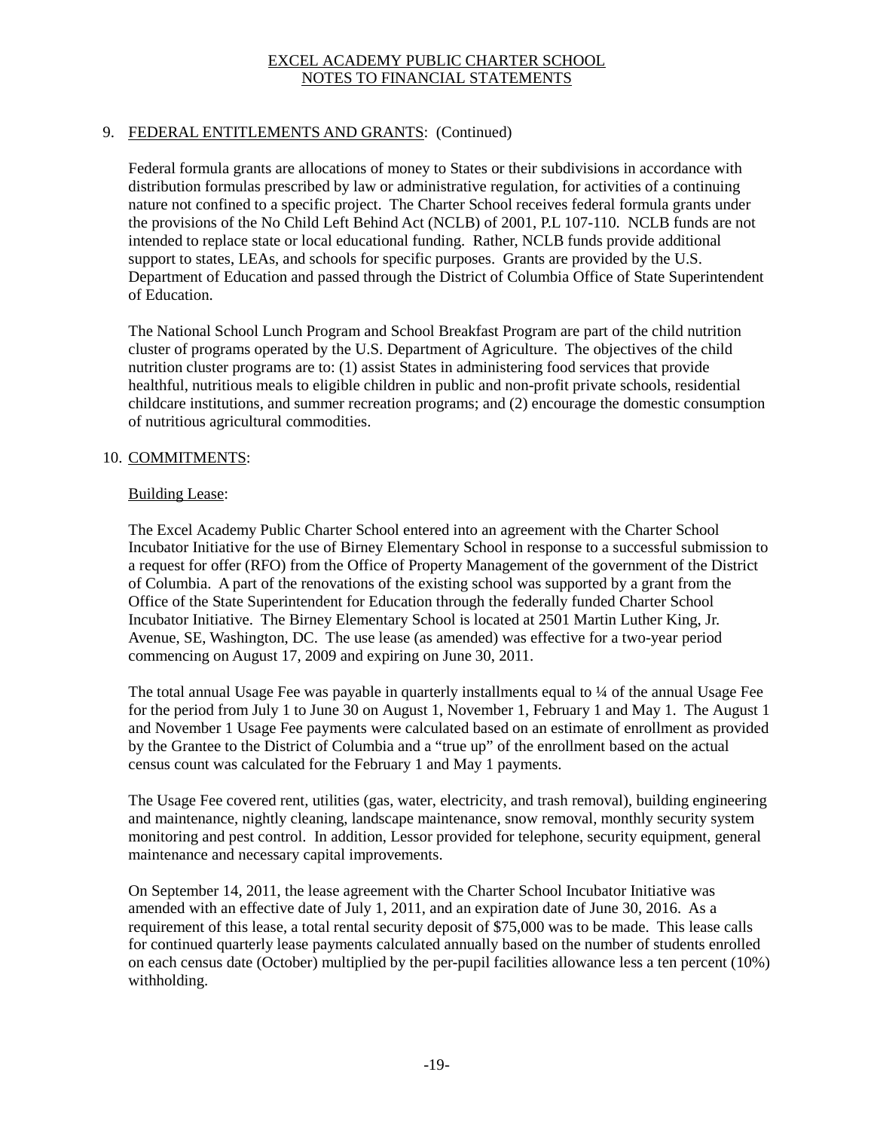# 9. FEDERAL ENTITLEMENTS AND GRANTS: (Continued)

Federal formula grants are allocations of money to States or their subdivisions in accordance with distribution formulas prescribed by law or administrative regulation, for activities of a continuing nature not confined to a specific project. The Charter School receives federal formula grants under the provisions of the No Child Left Behind Act (NCLB) of 2001, P.L 107-110. NCLB funds are not intended to replace state or local educational funding. Rather, NCLB funds provide additional support to states, LEAs, and schools for specific purposes. Grants are provided by the U.S. Department of Education and passed through the District of Columbia Office of State Superintendent of Education.

The National School Lunch Program and School Breakfast Program are part of the child nutrition cluster of programs operated by the U.S. Department of Agriculture. The objectives of the child nutrition cluster programs are to: (1) assist States in administering food services that provide healthful, nutritious meals to eligible children in public and non-profit private schools, residential childcare institutions, and summer recreation programs; and (2) encourage the domestic consumption of nutritious agricultural commodities.

## 10. COMMITMENTS:

## Building Lease:

The Excel Academy Public Charter School entered into an agreement with the Charter School Incubator Initiative for the use of Birney Elementary School in response to a successful submission to a request for offer (RFO) from the Office of Property Management of the government of the District of Columbia. A part of the renovations of the existing school was supported by a grant from the Office of the State Superintendent for Education through the federally funded Charter School Incubator Initiative. The Birney Elementary School is located at 2501 Martin Luther King, Jr. Avenue, SE, Washington, DC. The use lease (as amended) was effective for a two-year period commencing on August 17, 2009 and expiring on June 30, 2011.

The total annual Usage Fee was payable in quarterly installments equal to ¼ of the annual Usage Fee for the period from July 1 to June 30 on August 1, November 1, February 1 and May 1. The August 1 and November 1 Usage Fee payments were calculated based on an estimate of enrollment as provided by the Grantee to the District of Columbia and a "true up" of the enrollment based on the actual census count was calculated for the February 1 and May 1 payments.

The Usage Fee covered rent, utilities (gas, water, electricity, and trash removal), building engineering and maintenance, nightly cleaning, landscape maintenance, snow removal, monthly security system monitoring and pest control. In addition, Lessor provided for telephone, security equipment, general maintenance and necessary capital improvements.

On September 14, 2011, the lease agreement with the Charter School Incubator Initiative was amended with an effective date of July 1, 2011, and an expiration date of June 30, 2016. As a requirement of this lease, a total rental security deposit of \$75,000 was to be made. This lease calls for continued quarterly lease payments calculated annually based on the number of students enrolled on each census date (October) multiplied by the per-pupil facilities allowance less a ten percent (10%) withholding.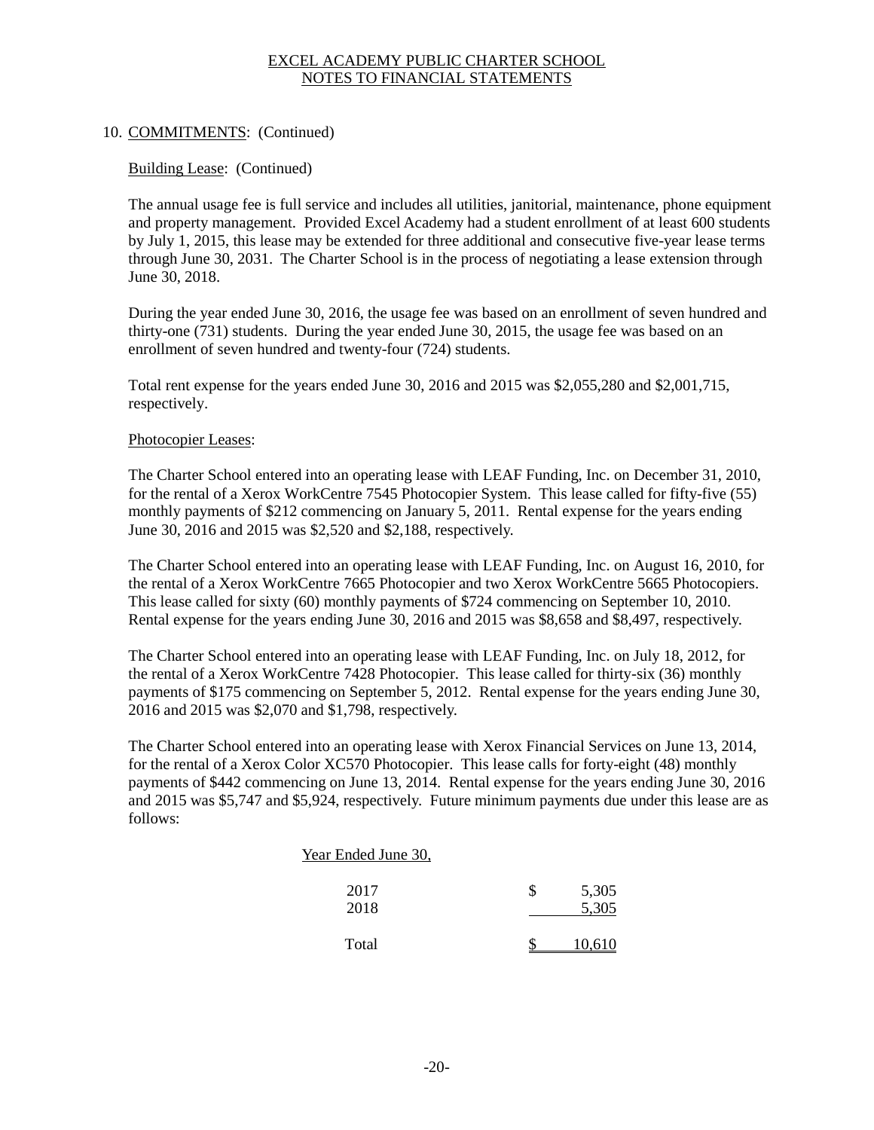# 10. COMMITMENTS: (Continued)

# Building Lease: (Continued)

The annual usage fee is full service and includes all utilities, janitorial, maintenance, phone equipment and property management. Provided Excel Academy had a student enrollment of at least 600 students by July 1, 2015, this lease may be extended for three additional and consecutive five-year lease terms through June 30, 2031. The Charter School is in the process of negotiating a lease extension through June 30, 2018.

During the year ended June 30, 2016, the usage fee was based on an enrollment of seven hundred and thirty-one (731) students. During the year ended June 30, 2015, the usage fee was based on an enrollment of seven hundred and twenty-four (724) students.

Total rent expense for the years ended June 30, 2016 and 2015 was \$2,055,280 and \$2,001,715, respectively.

## Photocopier Leases:

The Charter School entered into an operating lease with LEAF Funding, Inc. on December 31, 2010, for the rental of a Xerox WorkCentre 7545 Photocopier System. This lease called for fifty-five (55) monthly payments of \$212 commencing on January 5, 2011. Rental expense for the years ending June 30, 2016 and 2015 was \$2,520 and \$2,188, respectively.

The Charter School entered into an operating lease with LEAF Funding, Inc. on August 16, 2010, for the rental of a Xerox WorkCentre 7665 Photocopier and two Xerox WorkCentre 5665 Photocopiers. This lease called for sixty (60) monthly payments of \$724 commencing on September 10, 2010. Rental expense for the years ending June 30, 2016 and 2015 was \$8,658 and \$8,497, respectively.

The Charter School entered into an operating lease with LEAF Funding, Inc. on July 18, 2012, for the rental of a Xerox WorkCentre 7428 Photocopier. This lease called for thirty-six (36) monthly payments of \$175 commencing on September 5, 2012. Rental expense for the years ending June 30, 2016 and 2015 was \$2,070 and \$1,798, respectively.

The Charter School entered into an operating lease with Xerox Financial Services on June 13, 2014, for the rental of a Xerox Color XC570 Photocopier. This lease calls for forty-eight (48) monthly payments of \$442 commencing on June 13, 2014. Rental expense for the years ending June 30, 2016 and 2015 was \$5,747 and \$5,924, respectively. Future minimum payments due under this lease are as follows:

| Year Ended June 30, |     |        |
|---------------------|-----|--------|
| 2017                | \$. | 5,305  |
| 2018                |     | 5,305  |
| Total               |     | 10,610 |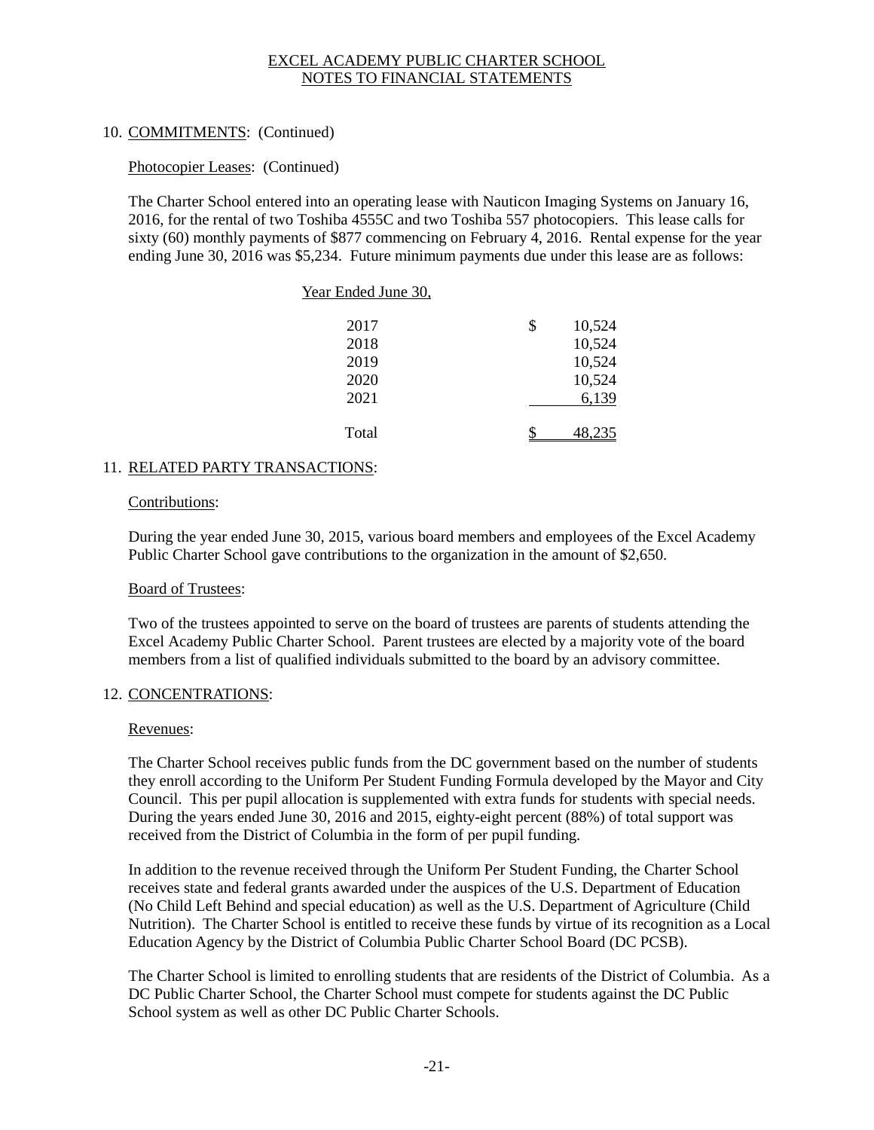# 10. COMMITMENTS: (Continued)

# Photocopier Leases: (Continued)

The Charter School entered into an operating lease with Nauticon Imaging Systems on January 16, 2016, for the rental of two Toshiba 4555C and two Toshiba 557 photocopiers. This lease calls for sixty (60) monthly payments of \$877 commencing on February 4, 2016. Rental expense for the year ending June 30, 2016 was \$5,234. Future minimum payments due under this lease are as follows:

| Year Ended June 30, |              |
|---------------------|--------------|
| 2017                | \$<br>10,524 |
| 2018                | 10,524       |
| 2019                | 10,524       |
| 2020                | 10,524       |
| 2021                | 6,139        |
|                     |              |
| Total               |              |

# 11. RELATED PARTY TRANSACTIONS:

## Contributions:

During the year ended June 30, 2015, various board members and employees of the Excel Academy Public Charter School gave contributions to the organization in the amount of \$2,650.

## Board of Trustees:

Two of the trustees appointed to serve on the board of trustees are parents of students attending the Excel Academy Public Charter School. Parent trustees are elected by a majority vote of the board members from a list of qualified individuals submitted to the board by an advisory committee.

## 12. CONCENTRATIONS:

## Revenues:

The Charter School receives public funds from the DC government based on the number of students they enroll according to the Uniform Per Student Funding Formula developed by the Mayor and City Council. This per pupil allocation is supplemented with extra funds for students with special needs. During the years ended June 30, 2016 and 2015, eighty-eight percent (88%) of total support was received from the District of Columbia in the form of per pupil funding.

In addition to the revenue received through the Uniform Per Student Funding, the Charter School receives state and federal grants awarded under the auspices of the U.S. Department of Education (No Child Left Behind and special education) as well as the U.S. Department of Agriculture (Child Nutrition). The Charter School is entitled to receive these funds by virtue of its recognition as a Local Education Agency by the District of Columbia Public Charter School Board (DC PCSB).

The Charter School is limited to enrolling students that are residents of the District of Columbia. As a DC Public Charter School, the Charter School must compete for students against the DC Public School system as well as other DC Public Charter Schools.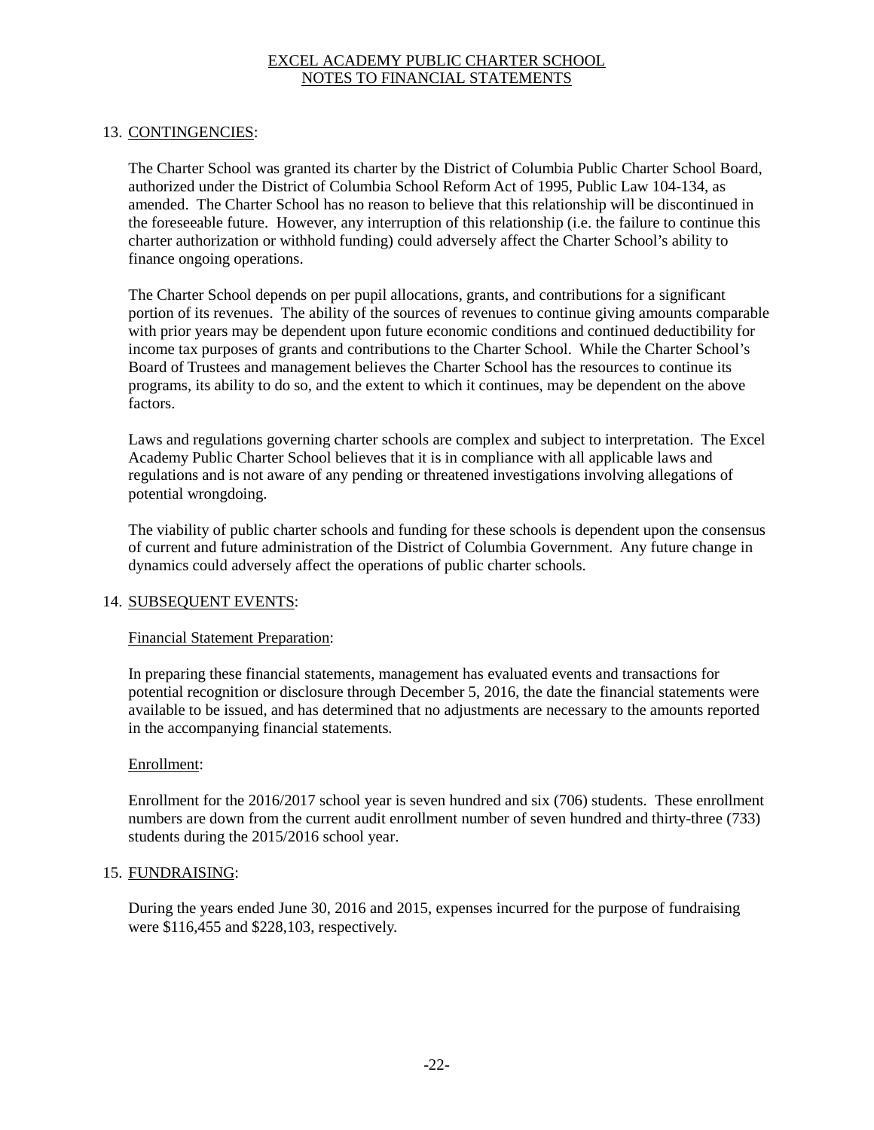# 13. CONTINGENCIES:

The Charter School was granted its charter by the District of Columbia Public Charter School Board, authorized under the District of Columbia School Reform Act of 1995, Public Law 104-134, as amended. The Charter School has no reason to believe that this relationship will be discontinued in the foreseeable future. However, any interruption of this relationship (i.e. the failure to continue this charter authorization or withhold funding) could adversely affect the Charter School's ability to finance ongoing operations.

The Charter School depends on per pupil allocations, grants, and contributions for a significant portion of its revenues. The ability of the sources of revenues to continue giving amounts comparable with prior years may be dependent upon future economic conditions and continued deductibility for income tax purposes of grants and contributions to the Charter School. While the Charter School's Board of Trustees and management believes the Charter School has the resources to continue its programs, its ability to do so, and the extent to which it continues, may be dependent on the above factors.

Laws and regulations governing charter schools are complex and subject to interpretation. The Excel Academy Public Charter School believes that it is in compliance with all applicable laws and regulations and is not aware of any pending or threatened investigations involving allegations of potential wrongdoing.

The viability of public charter schools and funding for these schools is dependent upon the consensus of current and future administration of the District of Columbia Government. Any future change in dynamics could adversely affect the operations of public charter schools.

# 14. SUBSEQUENT EVENTS:

## Financial Statement Preparation:

In preparing these financial statements, management has evaluated events and transactions for potential recognition or disclosure through December 5, 2016, the date the financial statements were available to be issued, and has determined that no adjustments are necessary to the amounts reported in the accompanying financial statements.

## Enrollment:

Enrollment for the 2016/2017 school year is seven hundred and six (706) students. These enrollment numbers are down from the current audit enrollment number of seven hundred and thirty-three (733) students during the 2015/2016 school year.

## 15. FUNDRAISING:

During the years ended June 30, 2016 and 2015, expenses incurred for the purpose of fundraising were \$116,455 and \$228,103, respectively.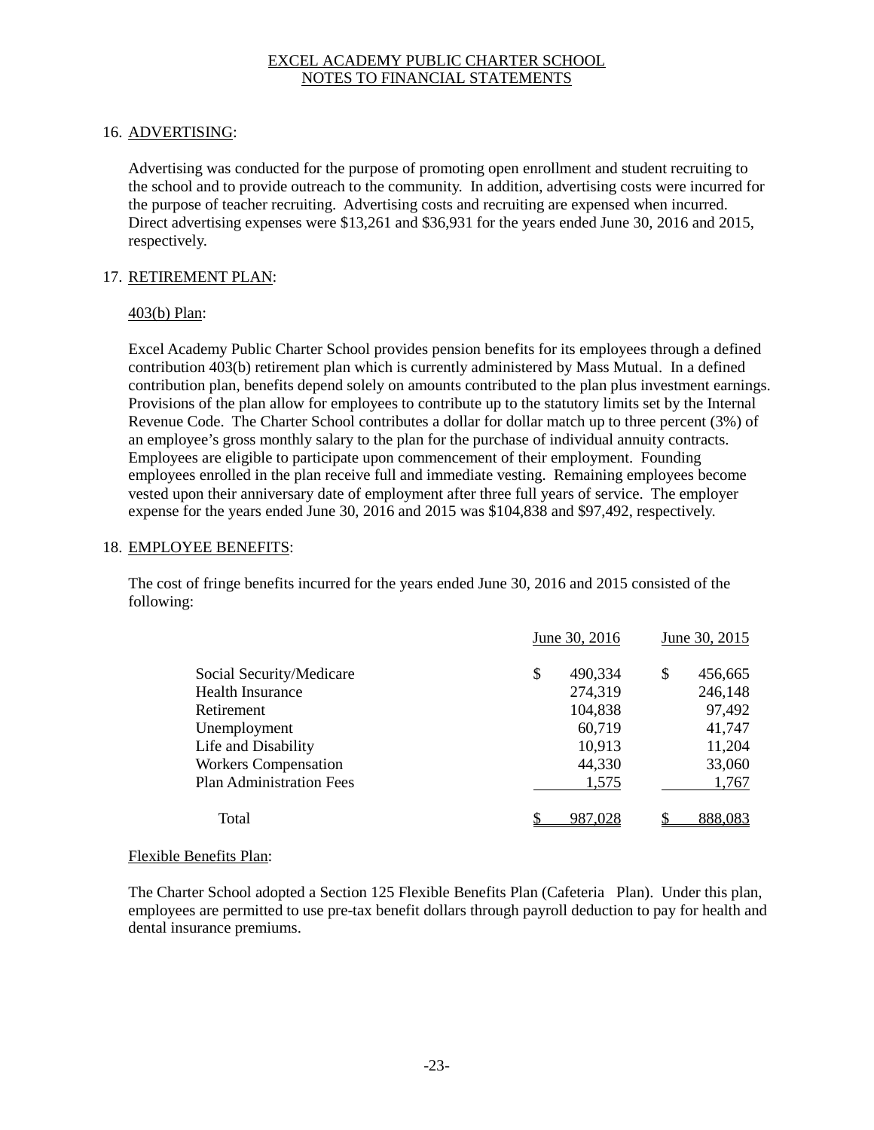# 16. ADVERTISING:

Advertising was conducted for the purpose of promoting open enrollment and student recruiting to the school and to provide outreach to the community. In addition, advertising costs were incurred for the purpose of teacher recruiting. Advertising costs and recruiting are expensed when incurred. Direct advertising expenses were \$13,261 and \$36,931 for the years ended June 30, 2016 and 2015, respectively.

#### 17. RETIREMENT PLAN:

#### 403(b) Plan:

Excel Academy Public Charter School provides pension benefits for its employees through a defined contribution 403(b) retirement plan which is currently administered by Mass Mutual. In a defined contribution plan, benefits depend solely on amounts contributed to the plan plus investment earnings. Provisions of the plan allow for employees to contribute up to the statutory limits set by the Internal Revenue Code. The Charter School contributes a dollar for dollar match up to three percent (3%) of an employee's gross monthly salary to the plan for the purchase of individual annuity contracts. Employees are eligible to participate upon commencement of their employment. Founding employees enrolled in the plan receive full and immediate vesting. Remaining employees become vested upon their anniversary date of employment after three full years of service. The employer expense for the years ended June 30, 2016 and 2015 was \$104,838 and \$97,492, respectively.

#### 18. EMPLOYEE BENEFITS:

The cost of fringe benefits incurred for the years ended June 30, 2016 and 2015 consisted of the following:

|                                 | June 30, 2016 |         | June 30, 2015 |  |  |
|---------------------------------|---------------|---------|---------------|--|--|
| Social Security/Medicare        | \$            | 490,334 | \$<br>456,665 |  |  |
| <b>Health Insurance</b>         |               | 274,319 | 246,148       |  |  |
| Retirement                      |               | 104,838 | 97,492        |  |  |
| Unemployment                    |               | 60,719  | 41,747        |  |  |
| Life and Disability             |               | 10,913  | 11,204        |  |  |
| <b>Workers Compensation</b>     |               | 44,330  | 33,060        |  |  |
| <b>Plan Administration Fees</b> |               | 1,575   | 1,767         |  |  |
| Total                           |               | 987,028 | 888,083       |  |  |

#### Flexible Benefits Plan:

The Charter School adopted a Section 125 Flexible Benefits Plan (Cafeteria Plan). Under this plan, employees are permitted to use pre-tax benefit dollars through payroll deduction to pay for health and dental insurance premiums.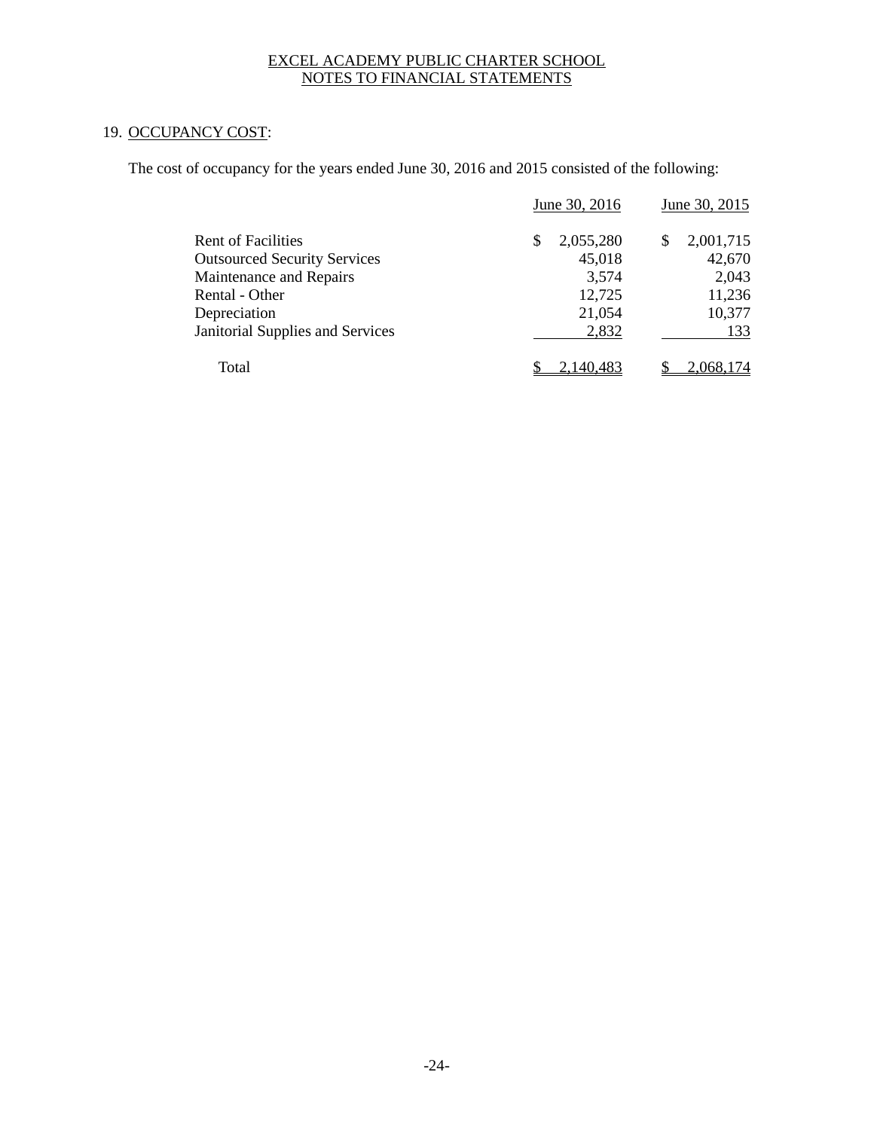# 19. OCCUPANCY COST:

The cost of occupancy for the years ended June 30, 2016 and 2015 consisted of the following:

|                                     | June 30, 2016   | June 30, 2015   |
|-------------------------------------|-----------------|-----------------|
| <b>Rent of Facilities</b>           | 2,055,280<br>\$ | 2,001,715<br>\$ |
| <b>Outsourced Security Services</b> | 45,018          | 42,670          |
| Maintenance and Repairs             | 3,574           | 2,043           |
| Rental - Other                      | 12,725          | 11,236          |
| Depreciation                        | 21,054          | 10,377          |
| Janitorial Supplies and Services    | 2,832           | 133             |
| Total                               | 2.140.483       | 2.068.174       |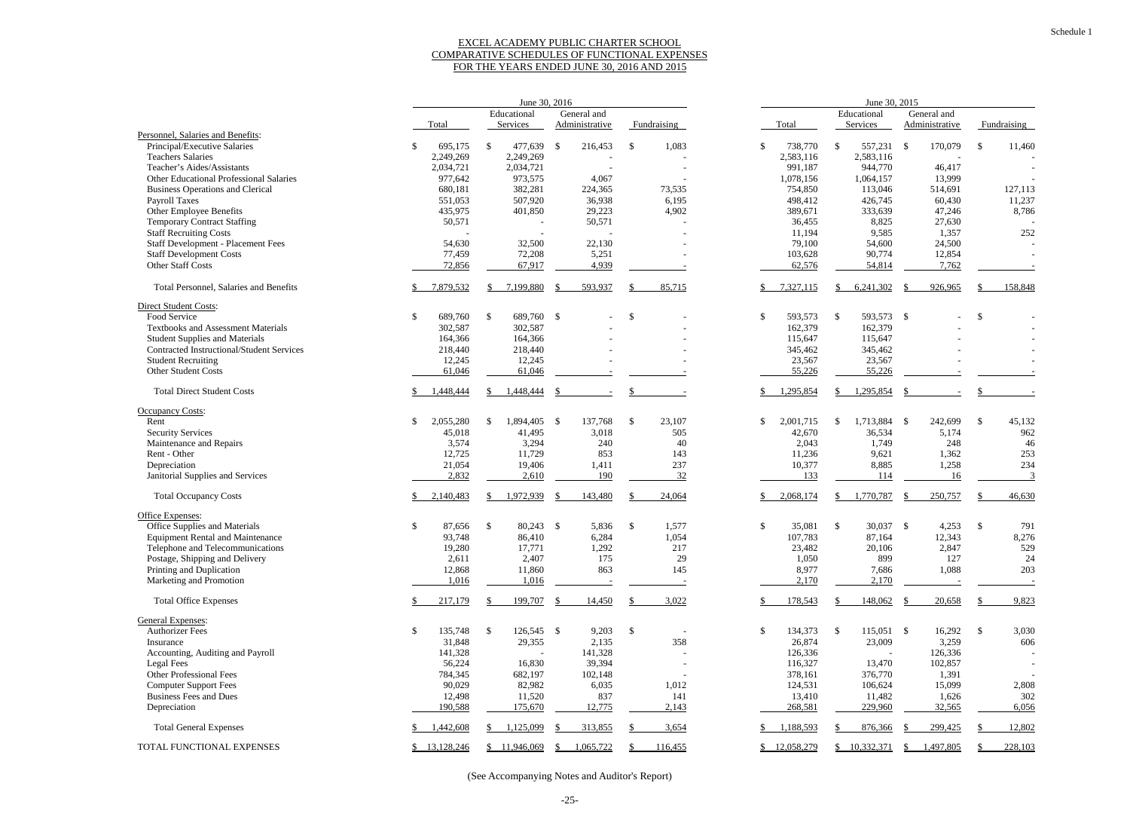## EXCEL ACADEMY PUBLIC CHARTER SCHOOL COMPARATIVE SCHEDULES OF FUNCTIONAL EXPENSES FOR THE YEARS ENDED JUNE 30, 2016 AND 2015

|                                           | June 30, 2016              |                              |      |                |     |             | June 30, 2015              |              |               |              |  |                |    |               |
|-------------------------------------------|----------------------------|------------------------------|------|----------------|-----|-------------|----------------------------|--------------|---------------|--------------|--|----------------|----|---------------|
|                                           | Educational<br>General and |                              |      |                |     |             | Educational<br>General and |              |               |              |  |                |    |               |
|                                           | Total                      | Services                     |      | Administrative |     | Fundraising |                            | Total        |               | Services     |  | Administrative |    | Fundraising   |
| Personnel, Salaries and Benefits:         |                            |                              |      |                |     |             |                            |              |               |              |  |                |    |               |
| Principal/Executive Salaries              | \$<br>695,175              | <sup>\$</sup><br>477,639     | - \$ | 216,453        | \$  | 1,083       | \$                         | 738,770      | \$            | 557,231 \$   |  | 170,079        | S. | 11,460        |
| <b>Teachers Salaries</b>                  |                            |                              |      |                |     |             |                            |              |               |              |  |                |    |               |
|                                           | 2,249,269                  | 2,249,269                    |      |                |     |             |                            | 2,583,116    |               | 2,583,116    |  |                |    |               |
| Teacher's Aides/Assistants                | 2,034,721                  | 2,034,721                    |      |                |     |             |                            | 991,187      |               | 944,770      |  | 46,417         |    |               |
| Other Educational Professional Salaries   | 977,642                    | 973,575                      |      | 4,067          |     |             |                            | 1,078,156    |               | 1,064,157    |  | 13,999         |    |               |
| <b>Business Operations and Clerical</b>   | 680,181                    | 382,281                      |      | 224,365        |     | 73,535      |                            | 754,850      |               | 113,046      |  | 514,691        |    | 127,113       |
| Payroll Taxes                             | 551,053                    | 507,920                      |      | 36,938         |     | 6,195       |                            | 498,412      |               | 426,745      |  | 60,430         |    | 11,237        |
|                                           | 435,975                    |                              |      |                |     | 4,902       |                            | 389,671      |               | 333,639      |  | 47,246         |    | 8,786         |
| Other Employee Benefits                   |                            | 401,850                      |      | 29,223         |     |             |                            |              |               |              |  |                |    |               |
| <b>Temporary Contract Staffing</b>        | 50,571                     |                              |      | 50,571         |     |             |                            | 36,455       |               | 8,825        |  | 27,630         |    |               |
| <b>Staff Recruiting Costs</b>             |                            |                              |      |                |     |             |                            | 11,194       |               | 9,585        |  | 1,357          |    | 252           |
| <b>Staff Development - Placement Fees</b> | 54,630                     | 32,500                       |      | 22,130         |     |             |                            | 79,100       |               | 54,600       |  | 24,500         |    |               |
| <b>Staff Development Costs</b>            | 77,459                     | 72,208                       |      | 5,251          |     |             |                            | 103,628      |               | 90,774       |  | 12,854         |    |               |
| Other Staff Costs                         | 72,856                     | 67,917                       |      | 4,939          |     |             |                            | 62,576       |               | 54,814       |  | 7,762          |    |               |
|                                           |                            |                              |      |                |     |             |                            |              |               |              |  |                |    |               |
| Total Personnel, Salaries and Benefits    | 7,879,532                  | 7,199,880                    |      | 593,937        | S   | 85,715      |                            | 7,327,115    |               | 6,241,302    |  | 926,965        |    | 158,848       |
| <b>Direct Student Costs:</b>              |                            |                              |      |                |     |             |                            |              |               |              |  |                |    |               |
| Food Service                              | \$<br>689,760              | $\sqrt{3}$<br>689,760 \$     |      |                | -\$ |             | \$                         | 593,573      | \$            | 593,573 \$   |  |                | \$ |               |
| <b>Textbooks and Assessment Materials</b> | 302,587                    | 302,587                      |      |                |     |             |                            | 162,379      |               | 162,379      |  |                |    |               |
| <b>Student Supplies and Materials</b>     | 164,366                    | 164,366                      |      |                |     |             |                            | 115,647      |               | 115,647      |  |                |    |               |
| Contracted Instructional/Student Services | 218,440                    | 218,440                      |      |                |     |             |                            | 345,462      |               | 345,462      |  |                |    |               |
|                                           |                            |                              |      |                |     |             |                            | 23,567       |               | 23,567       |  |                |    |               |
| <b>Student Recruiting</b>                 | 12,245                     | 12,245                       |      |                |     |             |                            |              |               |              |  |                |    |               |
| Other Student Costs                       | 61,046                     | 61,046                       |      |                |     |             |                            | 55,226       |               | 55,226       |  |                |    |               |
| <b>Total Direct Student Costs</b>         | 1,448,444                  | 1,448,444                    |      |                |     |             |                            | 1,295,854    |               | 1,295,854    |  |                |    |               |
| Occupancy Costs:                          |                            |                              |      |                |     |             |                            |              |               |              |  |                |    |               |
| Rent                                      | \$<br>2,055,280            | $\mathbb{S}$<br>1,894,405 \$ |      | 137,768        | \$  | 23,107      | \$                         | 2,001,715    | \$            | 1,713,884 \$ |  | 242,699        | S. | 45,132        |
| <b>Security Services</b>                  | 45,018                     | 41,495                       |      | 3,018          |     | 505         |                            | 42,670       |               | 36,534       |  | 5,174          |    | 962           |
| Maintenance and Repairs                   | 3,574                      | 3,294                        |      | 240            |     | 40          |                            | 2,043        |               | 1,749        |  | 248            |    | 46            |
|                                           |                            |                              |      |                |     |             |                            |              |               |              |  |                |    |               |
| Rent - Other                              | 12,725                     | 11,729                       |      | 853            |     | 143         |                            | 11,236       |               | 9,621        |  | 1,362          |    | 253           |
| Depreciation                              | 21,054                     | 19,406                       |      | 1,411          |     | 237         |                            | 10,377       |               | 8,885        |  | 1,258          |    | 234           |
| Janitorial Supplies and Services          | 2,832                      | 2,610                        |      | 190            |     | 32          |                            | 133          |               | 114          |  | 16             |    | $\mathcal{R}$ |
| <b>Total Occupancy Costs</b>              | 2,140,483                  | 1,972,939                    |      | 143,480        |     | 24,064      |                            | 2,068,174    |               | 1,770,787    |  | 250,757        |    | 46,630        |
| Office Expenses:                          |                            |                              |      |                |     |             |                            |              |               |              |  |                |    |               |
| Office Supplies and Materials             | \$<br>87,656               | \$<br>80,243 \$              |      | 5,836          | \$  | 1,577       | \$                         | 35,081       | <sup>\$</sup> | 30,037 \$    |  | 4,253          | \$ | 791           |
| <b>Equipment Rental and Maintenance</b>   | 93,748                     | 86,410                       |      | 6,284          |     | 1,054       |                            | 107,783      |               | 87,164       |  | 12,343         |    | 8,276         |
|                                           |                            |                              |      |                |     |             |                            |              |               |              |  |                |    |               |
| Telephone and Telecommunications          | 19,280                     | 17,771                       |      | 1,292          |     | 217         |                            | 23,482       |               | 20,106       |  | 2,847          |    | 529           |
| Postage, Shipping and Delivery            | 2,611                      | 2,407                        |      | 175            |     | 29          |                            | 1,050        |               | 899          |  | 127            |    | 24            |
| Printing and Duplication                  | 12,868                     | 11,860                       |      | 863            |     | 145         |                            | 8,977        |               | 7,686        |  | 1,088          |    | 203           |
| Marketing and Promotion                   | 1,016                      | 1,016                        |      |                |     |             |                            | 2,170        |               | 2,170        |  |                |    |               |
| <b>Total Office Expenses</b>              | 217,179                    | 199,707                      | -S   | 14,450         |     | 3,022       |                            | 178,543      |               | 148,062      |  | 20,658         |    | 9,823         |
| General Expenses:                         |                            |                              |      |                |     |             |                            |              |               |              |  |                |    |               |
| <b>Authorizer Fees</b>                    | \$<br>135,748              | \$<br>126,545 \$             |      | 9,203          | \$  |             | \$                         | 134,373      | -S            | $115,051$ \$ |  | 16,292         | \$ | 3,030         |
|                                           |                            |                              |      |                |     | 358         |                            |              |               |              |  |                |    |               |
| Insurance                                 | 31,848                     | 29,355                       |      | 2,135          |     |             |                            | 26,874       |               | 23,009       |  | 3,259          |    | 606           |
| Accounting, Auditing and Payroll          | 141,328                    |                              |      | 141,328        |     |             |                            | 126,336      |               |              |  | 126,336        |    |               |
| Legal Fees                                | 56,224                     | 16,830                       |      | 39,394         |     |             |                            | 116,327      |               | 13,470       |  | 102,857        |    |               |
| Other Professional Fees                   | 784,345                    | 682,197                      |      | 102,148        |     |             |                            | 378,161      |               | 376,770      |  | 1,391          |    |               |
| <b>Computer Support Fees</b>              | 90,029                     | 82,982                       |      | 6,035          |     | 1,012       |                            | 124,531      |               | 106,624      |  | 15,099         |    | 2,808         |
| <b>Business Fees and Dues</b>             | 12,498                     | 11,520                       |      | 837            |     | 141         |                            | 13,410       |               | 11,482       |  | 1,626          |    | 302           |
| Depreciation                              | 190,588                    | 175,670                      |      | 12,775         |     | 2,143       |                            | 268,581      |               | 229,960      |  | 32,565         |    | 6,056         |
|                                           |                            |                              |      |                |     |             |                            |              |               |              |  |                |    |               |
| <b>Total General Expenses</b>             | 1,442,608                  | 1,125,099                    |      | 313,855        |     | 3,654       |                            | 1,188,593    |               | 876,366      |  | 299,425        |    | 12,802        |
| TOTAL FUNCTIONAL EXPENSES                 | \$13,128,246               | \$11,946,069                 |      | 1,065,722      |     | 116,455     |                            | \$12,058,279 |               | 10,332,371   |  | 1,497,805      |    | 228,103       |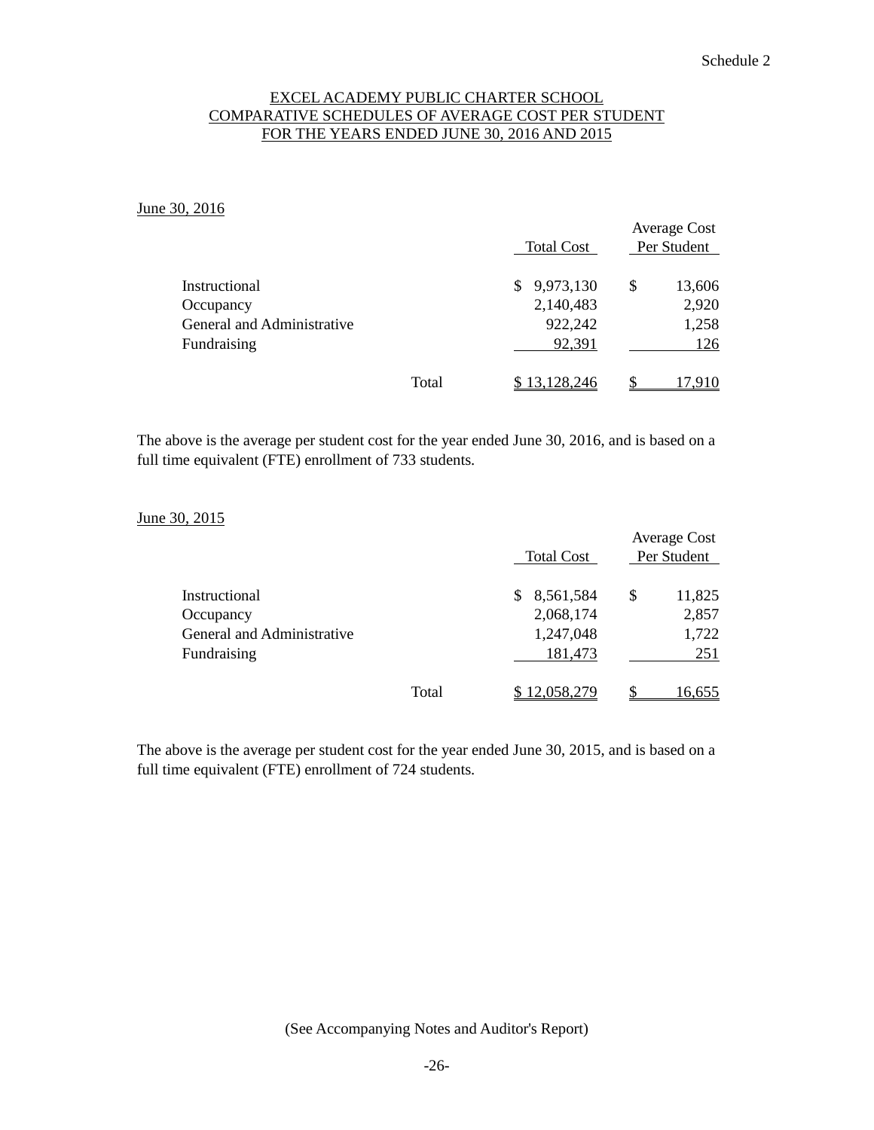# EXCEL ACADEMY PUBLIC CHARTER SCHOOL COMPARATIVE SCHEDULES OF AVERAGE COST PER STUDENT FOR THE YEARS ENDED JUNE 30, 2016 AND 2015

June 30, 2016

|                            |       | <b>Total Cost</b> | <b>Average Cost</b><br>Per Student |
|----------------------------|-------|-------------------|------------------------------------|
| Instructional              |       | 9,973,130<br>SS.  | \$<br>13,606                       |
| Occupancy                  |       | 2,140,483         | 2,920                              |
| General and Administrative |       | 922,242           | 1,258                              |
| Fundraising                |       | 92,391            | 126                                |
|                            | Total | \$13,128,246      | .7.910                             |

The above is the average per student cost for the year ended June 30, 2016, and is based on a full time equivalent (FTE) enrollment of 733 students.

## June 30, 2015

|                            |       | <b>Total Cost</b> | <b>Average Cost</b><br>Per Student |
|----------------------------|-------|-------------------|------------------------------------|
| Instructional              |       | 8,561,584<br>\$.  | \$<br>11,825                       |
| Occupancy                  |       | 2,068,174         | 2,857                              |
| General and Administrative |       | 1,247,048         | 1,722                              |
| Fundraising                |       | 181,473           | 251                                |
|                            | Total | 12,058,279        | 16,655                             |

The above is the average per student cost for the year ended June 30, 2015, and is based on a full time equivalent (FTE) enrollment of 724 students.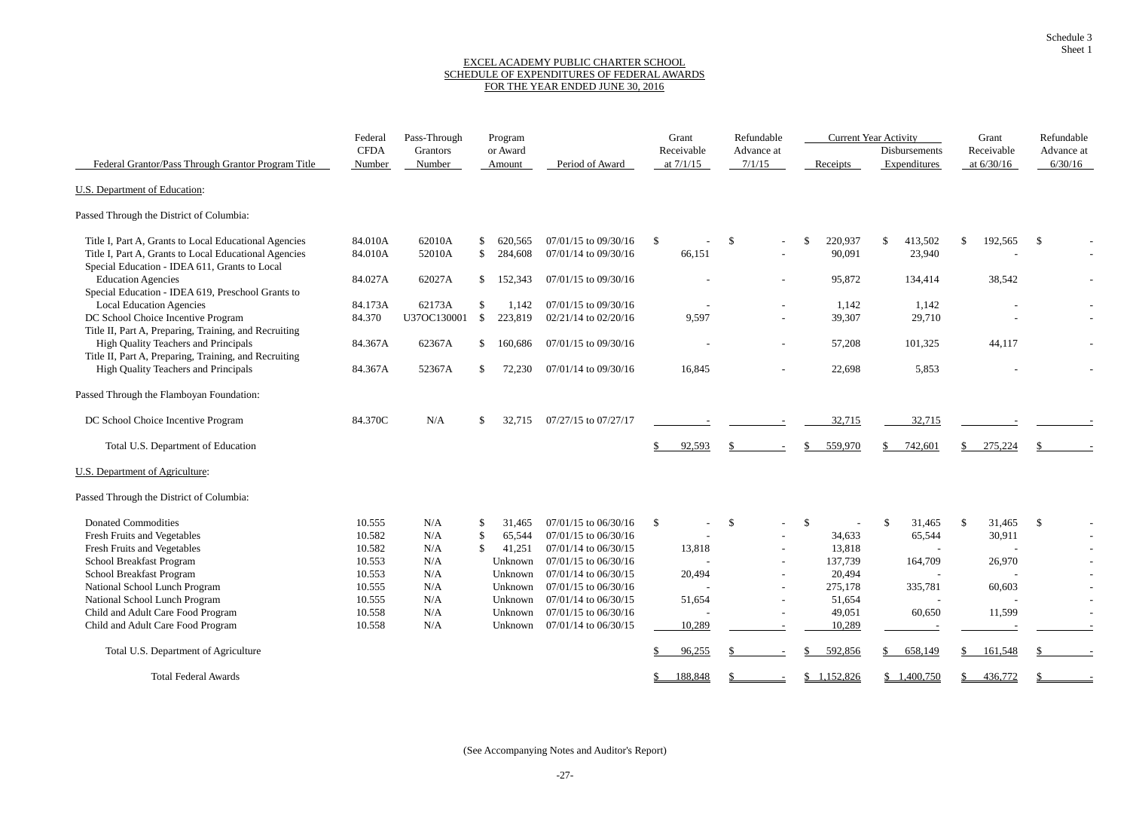#### EXCEL ACADEMY PUBLIC CHARTER SCHOOL SCHEDULE OF EXPENDITURES OF FEDERAL AWARDS FOR THE YEAR ENDED JUNE 30, 2016

|                                                                                                        | Federal       | Refundable<br>Pass-Through<br>Grant<br>Program |               |          | <b>Current Year Activity</b> |    |             | Grant              |            | Refundable |              |              |                |               |            |               |  |
|--------------------------------------------------------------------------------------------------------|---------------|------------------------------------------------|---------------|----------|------------------------------|----|-------------|--------------------|------------|------------|--------------|--------------|----------------|---------------|------------|---------------|--|
|                                                                                                        | <b>CFDA</b>   | Grantors                                       |               | or Award |                              |    | Receivable  |                    | Advance at |            |              |              | Disbursements  |               | Receivable | Advance at    |  |
| Federal Grantor/Pass Through Grantor Program Title                                                     | <b>Number</b> | Number                                         |               | Amount   | Period of Award              |    | at $7/1/15$ | 7/1/15<br>Receipts |            |            | Expenditures | at $6/30/16$ |                | 6/30/16       |            |               |  |
| <b>U.S. Department of Education:</b>                                                                   |               |                                                |               |          |                              |    |             |                    |            |            |              |              |                |               |            |               |  |
| Passed Through the District of Columbia:                                                               |               |                                                |               |          |                              |    |             |                    |            |            |              |              |                |               |            |               |  |
| Title I, Part A, Grants to Local Educational Agencies                                                  | 84.010A       | 62010A                                         | \$            | 620,565  | $07/01/15$ to $09/30/16$     | \$ |             | $\mathcal{S}$      | $\sim$     | - \$       | 220,937      | \$           | 413,502        | \$            | 192,565    | $\mathcal{S}$ |  |
| Title I, Part A, Grants to Local Educational Agencies<br>Special Education - IDEA 611, Grants to Local | 84.010A       | 52010A                                         | \$            | 284,608  | 07/01/14 to 09/30/16         |    | 66,151      |                    | $\sim$     |            | 90,091       |              | 23,940         |               |            |               |  |
| <b>Education Agencies</b><br>Special Education - IDEA 619, Preschool Grants to                         | 84.027A       | 62027A                                         | \$            | 152,343  | 07/01/15 to 09/30/16         |    |             |                    |            |            | 95,872       |              | 134,414        |               | 38,542     |               |  |
| <b>Local Education Agencies</b>                                                                        | 84.173A       | 62173A                                         | S             | 1,142    | 07/01/15 to 09/30/16         |    |             |                    |            |            | 1,142        |              | 1,142          |               |            |               |  |
| DC School Choice Incentive Program                                                                     | 84.370        | U37OC130001                                    | $\mathcal{S}$ | 223,819  | 02/21/14 to 02/20/16         |    | 9,597       |                    |            |            | 39,307       |              | 29,710         |               |            |               |  |
| Title II, Part A, Preparing, Training, and Recruiting                                                  |               |                                                |               |          |                              |    |             |                    |            |            |              |              |                |               |            |               |  |
| High Quality Teachers and Principals                                                                   | 84.367A       | 62367A                                         | S.            | 160,686  | 07/01/15 to 09/30/16         |    |             |                    |            |            | 57,208       |              | 101,325        |               | 44,117     |               |  |
| Title II, Part A, Preparing, Training, and Recruiting                                                  |               |                                                |               |          |                              |    |             |                    |            |            |              |              |                |               |            |               |  |
| High Quality Teachers and Principals                                                                   | 84.367A       | 52367A                                         | \$.           | 72,230   | $07/01/14$ to $09/30/16$     |    | 16,845      |                    |            |            | 22,698       |              | 5,853          |               |            |               |  |
| Passed Through the Flamboyan Foundation:                                                               |               |                                                |               |          |                              |    |             |                    |            |            |              |              |                |               |            |               |  |
| DC School Choice Incentive Program                                                                     | 84.370C       | N/A                                            | \$            | 32,715   | 07/27/15 to 07/27/17         |    |             |                    |            |            | 32,715       |              | 32,715         |               |            |               |  |
| Total U.S. Department of Education                                                                     |               |                                                |               |          |                              |    | 92,593      |                    |            | \$.        | 559,970      |              | 742,601        | \$.           | 275,224    |               |  |
| <b>U.S. Department of Agriculture:</b>                                                                 |               |                                                |               |          |                              |    |             |                    |            |            |              |              |                |               |            |               |  |
| Passed Through the District of Columbia:                                                               |               |                                                |               |          |                              |    |             |                    |            |            |              |              |                |               |            |               |  |
| <b>Donated Commodities</b>                                                                             | 10.555        | N/A                                            | \$            | 31,465   | $07/01/15$ to $06/30/16$     | -S |             | -S                 | $\sim$     | - S        |              |              | 31,465         | <sup>\$</sup> | 31,465     | \$            |  |
| Fresh Fruits and Vegetables                                                                            | 10.582        | N/A                                            | S             | 65,544   | 07/01/15 to 06/30/16         |    |             |                    |            |            | 34,633       |              | 65,544         |               | 30,911     |               |  |
| Fresh Fruits and Vegetables                                                                            | 10.582        | N/A                                            | \$.           | 41,251   | 07/01/14 to 06/30/15         |    | 13,818      |                    |            |            | 13,818       |              | $\overline{a}$ |               |            |               |  |
| School Breakfast Program                                                                               | 10.553        | N/A                                            |               | Unknown  | 07/01/15 to 06/30/16         |    |             |                    |            |            | 137,739      |              | 164,709        |               | 26,970     |               |  |
| School Breakfast Program                                                                               | 10.553        | N/A                                            |               | Unknown  | $07/01/14$ to $06/30/15$     |    | 20,494      |                    |            |            | 20,494       |              |                |               |            |               |  |
| National School Lunch Program                                                                          | 10.555        | N/A                                            |               | Unknown  | 07/01/15 to 06/30/16         |    |             |                    |            |            | 275,178      |              | 335,781        |               | 60,603     |               |  |
| National School Lunch Program                                                                          | 10.555        | N/A                                            |               |          | Unknown 07/01/14 to 06/30/15 |    | 51,654      |                    |            |            | 51,654       |              |                |               |            |               |  |
| Child and Adult Care Food Program                                                                      | 10.558        | N/A                                            |               | Unknown  | $07/01/15$ to $06/30/16$     |    |             |                    |            |            | 49,051       |              | 60,650         |               | 11,599     |               |  |
| Child and Adult Care Food Program                                                                      | 10.558        | N/A                                            |               | Unknown  | 07/01/14 to 06/30/15         |    | 10,289      |                    |            |            | 10,289       |              |                |               |            |               |  |
| Total U.S. Department of Agriculture                                                                   |               |                                                |               |          |                              |    | 96,255      |                    |            | \$         | 592,856      |              | 658,149        |               | 161,548    |               |  |
| <b>Total Federal Awards</b>                                                                            |               |                                                |               |          |                              |    | 188,848     | -S                 |            |            | \$1,152,826  |              | \$1,400,750    |               | 436,772    |               |  |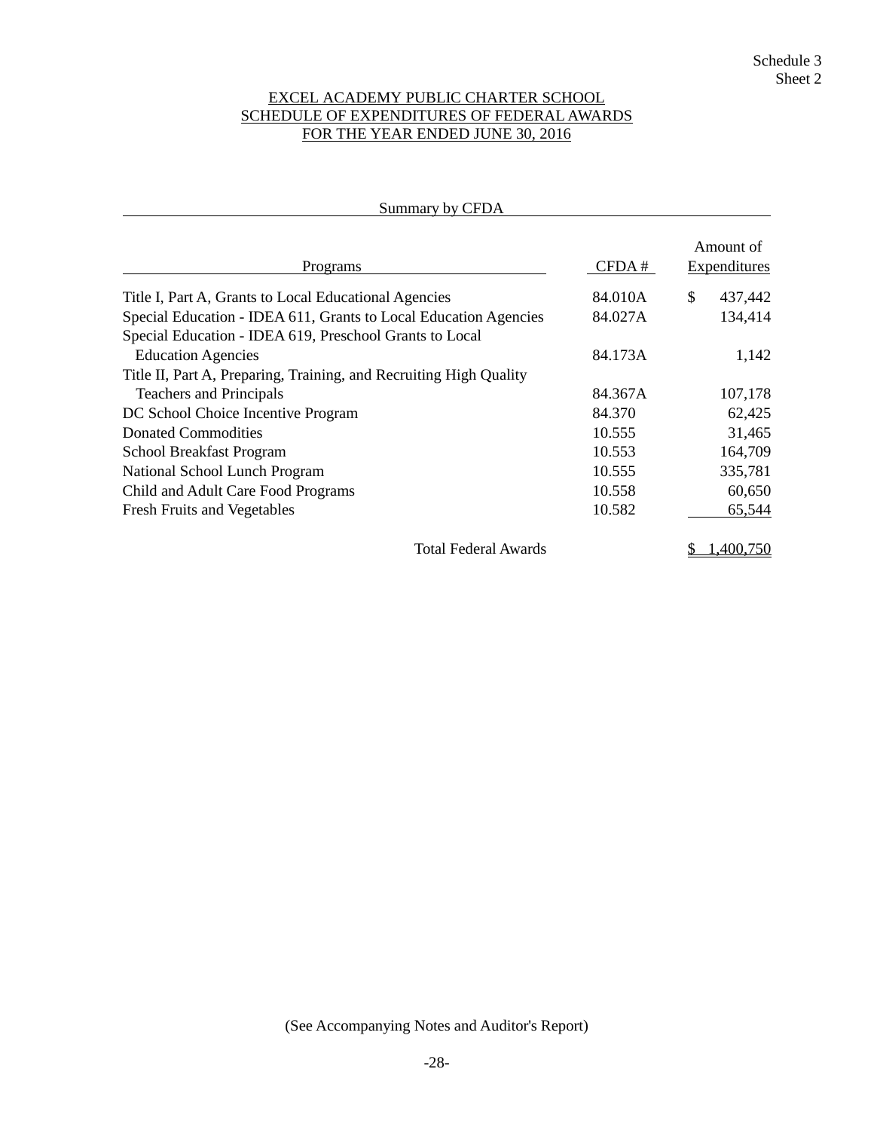# EXCEL ACADEMY PUBLIC CHARTER SCHOOL SCHEDULE OF EXPENDITURES OF FEDERAL AWARDS FOR THE YEAR ENDED JUNE 30, 2016

| Summary by CFDA                                                    |         |                                  |
|--------------------------------------------------------------------|---------|----------------------------------|
| Programs                                                           | CFDA#   | Amount of<br><b>Expenditures</b> |
| Title I, Part A, Grants to Local Educational Agencies              | 84.010A | \$<br>437,442                    |
| Special Education - IDEA 611, Grants to Local Education Agencies   | 84.027A | 134,414                          |
| Special Education - IDEA 619, Preschool Grants to Local            |         |                                  |
| <b>Education Agencies</b>                                          | 84.173A | 1,142                            |
| Title II, Part A, Preparing, Training, and Recruiting High Quality |         |                                  |
| Teachers and Principals                                            | 84.367A | 107,178                          |
| DC School Choice Incentive Program                                 | 84.370  | 62,425                           |
| Donated Commodities                                                | 10.555  | 31,465                           |
| School Breakfast Program                                           | 10.553  | 164,709                          |
| National School Lunch Program                                      | 10.555  | 335,781                          |
| Child and Adult Care Food Programs                                 | 10.558  | 60,650                           |
| <b>Fresh Fruits and Vegetables</b>                                 | 10.582  | 65,544                           |
| <b>Total Federal Awards</b>                                        |         | ,400,750                         |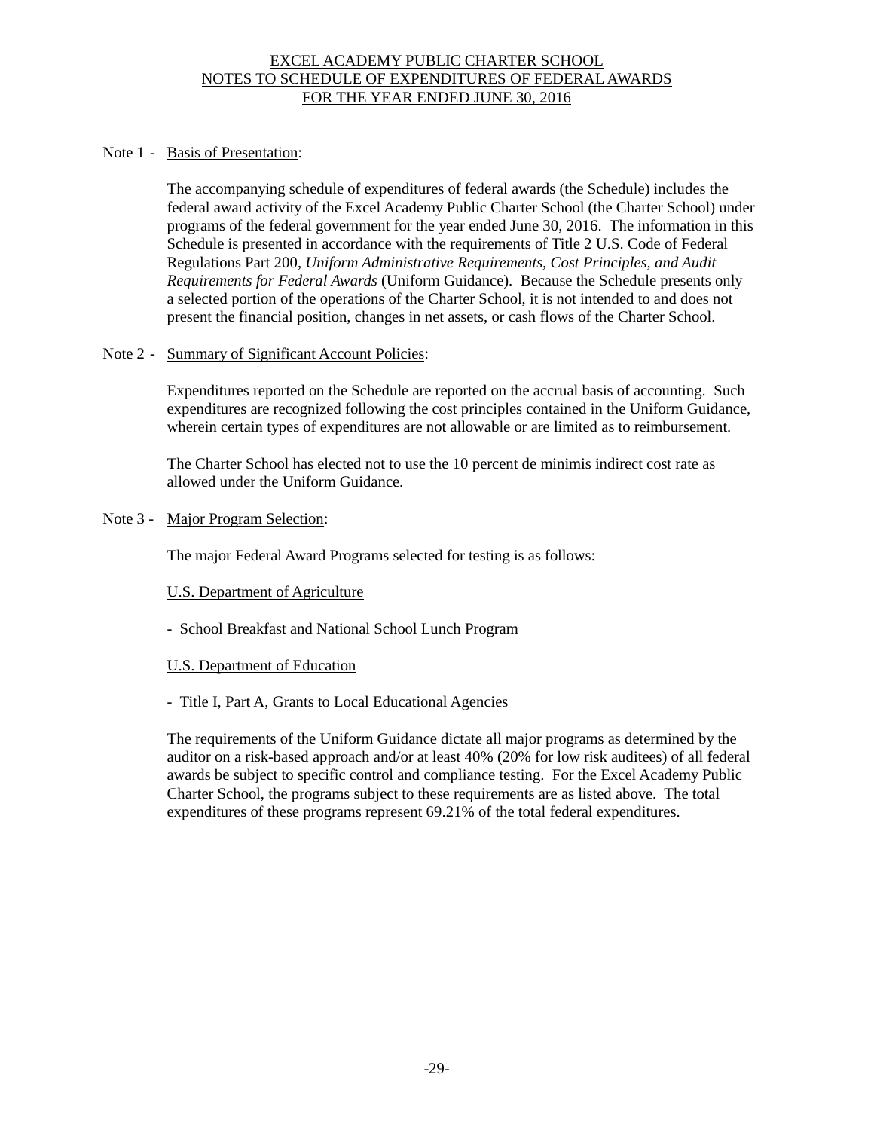# EXCEL ACADEMY PUBLIC CHARTER SCHOOL NOTES TO SCHEDULE OF EXPENDITURES OF FEDERAL AWARDS FOR THE YEAR ENDED JUNE 30, 2016

## Note 1 - Basis of Presentation:

The accompanying schedule of expenditures of federal awards (the Schedule) includes the federal award activity of the Excel Academy Public Charter School (the Charter School) under programs of the federal government for the year ended June 30, 2016. The information in this Schedule is presented in accordance with the requirements of Title 2 U.S. Code of Federal Regulations Part 200, *Uniform Administrative Requirements, Cost Principles, and Audit Requirements for Federal Awards* (Uniform Guidance). Because the Schedule presents only a selected portion of the operations of the Charter School, it is not intended to and does not present the financial position, changes in net assets, or cash flows of the Charter School.

#### Note 2 - Summary of Significant Account Policies:

Expenditures reported on the Schedule are reported on the accrual basis of accounting. Such expenditures are recognized following the cost principles contained in the Uniform Guidance, wherein certain types of expenditures are not allowable or are limited as to reimbursement.

The Charter School has elected not to use the 10 percent de minimis indirect cost rate as allowed under the Uniform Guidance.

#### Note 3 - Major Program Selection:

The major Federal Award Programs selected for testing is as follows:

## U.S. Department of Agriculture

- School Breakfast and National School Lunch Program

#### U.S. Department of Education

- Title I, Part A, Grants to Local Educational Agencies

The requirements of the Uniform Guidance dictate all major programs as determined by the auditor on a risk-based approach and/or at least 40% (20% for low risk auditees) of all federal awards be subject to specific control and compliance testing. For the Excel Academy Public Charter School, the programs subject to these requirements are as listed above. The total expenditures of these programs represent 69.21% of the total federal expenditures.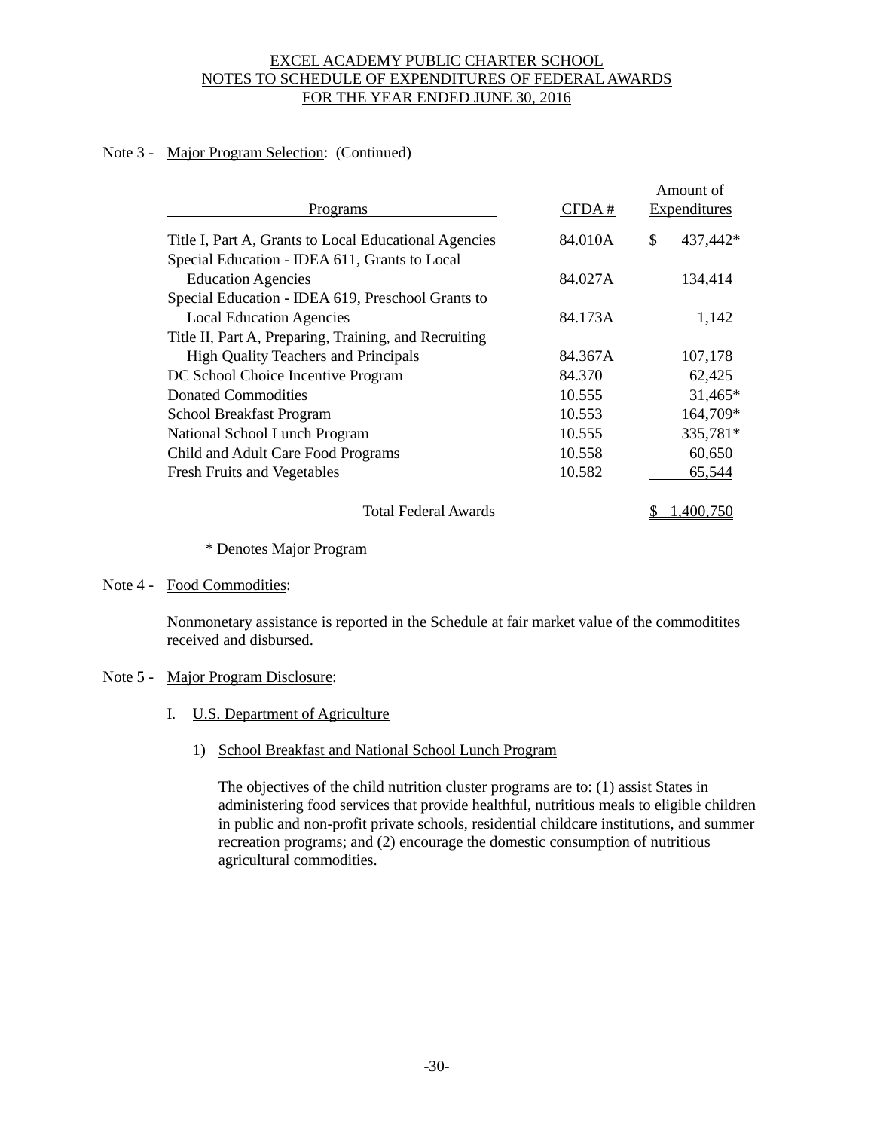## EXCEL ACADEMY PUBLIC CHARTER SCHOOL NOTES TO SCHEDULE OF EXPENDITURES OF FEDERAL AWARDS FOR THE YEAR ENDED JUNE 30, 2016

# Note 3 - Major Program Selection: (Continued)

|                                                       |         |    | Amount of    |
|-------------------------------------------------------|---------|----|--------------|
| Programs                                              | CFDA#   |    | Expenditures |
| Title I, Part A, Grants to Local Educational Agencies | 84.010A | \$ | 437,442*     |
| Special Education - IDEA 611, Grants to Local         |         |    |              |
| <b>Education Agencies</b>                             | 84.027A |    | 134,414      |
| Special Education - IDEA 619, Preschool Grants to     |         |    |              |
| <b>Local Education Agencies</b>                       | 84.173A |    | 1,142        |
| Title II, Part A, Preparing, Training, and Recruiting |         |    |              |
| <b>High Quality Teachers and Principals</b>           | 84.367A |    | 107,178      |
| DC School Choice Incentive Program                    | 84.370  |    | 62,425       |
| Donated Commodities                                   | 10.555  |    | $31,465*$    |
| School Breakfast Program                              | 10.553  |    | 164,709*     |
| National School Lunch Program                         | 10.555  |    | 335,781*     |
| Child and Adult Care Food Programs                    | 10.558  |    | 60,650       |
| Fresh Fruits and Vegetables                           | 10.582  |    | 65,544       |
| <b>Total Federal Awards</b>                           |         | Ъ  | 1.400.750    |

\* Denotes Major Program

## Note 4 - Food Commodities:

Nonmonetary assistance is reported in the Schedule at fair market value of the commoditites received and disbursed.

## Note 5 - Major Program Disclosure:

- I. U.S. Department of Agriculture
	- 1) School Breakfast and National School Lunch Program

The objectives of the child nutrition cluster programs are to: (1) assist States in administering food services that provide healthful, nutritious meals to eligible children in public and non-profit private schools, residential childcare institutions, and summer recreation programs; and (2) encourage the domestic consumption of nutritious agricultural commodities.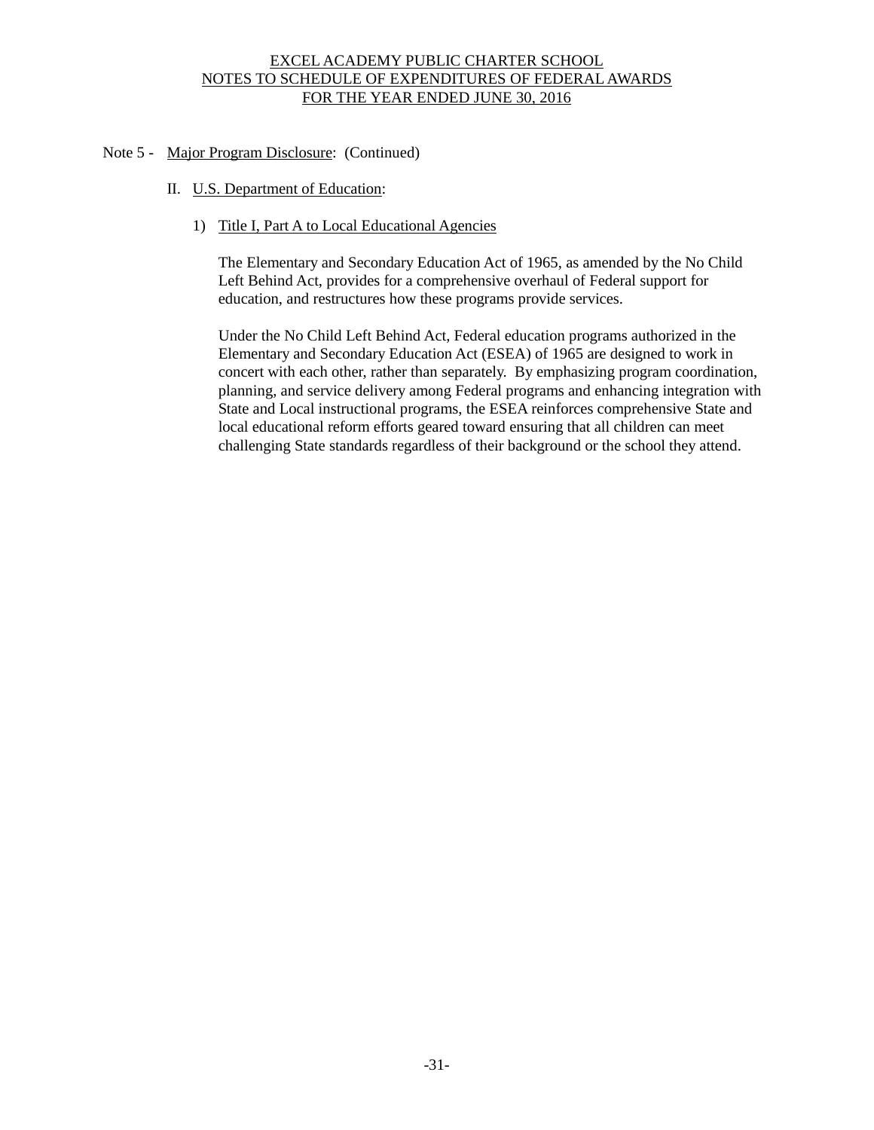# EXCEL ACADEMY PUBLIC CHARTER SCHOOL NOTES TO SCHEDULE OF EXPENDITURES OF FEDERAL AWARDS FOR THE YEAR ENDED JUNE 30, 2016

# Note 5 - Major Program Disclosure: (Continued)

- II. U.S. Department of Education:
	- 1) Title I, Part A to Local Educational Agencies

The Elementary and Secondary Education Act of 1965, as amended by the No Child Left Behind Act, provides for a comprehensive overhaul of Federal support for education, and restructures how these programs provide services.

Under the No Child Left Behind Act, Federal education programs authorized in the Elementary and Secondary Education Act (ESEA) of 1965 are designed to work in concert with each other, rather than separately. By emphasizing program coordination, planning, and service delivery among Federal programs and enhancing integration with State and Local instructional programs, the ESEA reinforces comprehensive State and local educational reform efforts geared toward ensuring that all children can meet challenging State standards regardless of their background or the school they attend.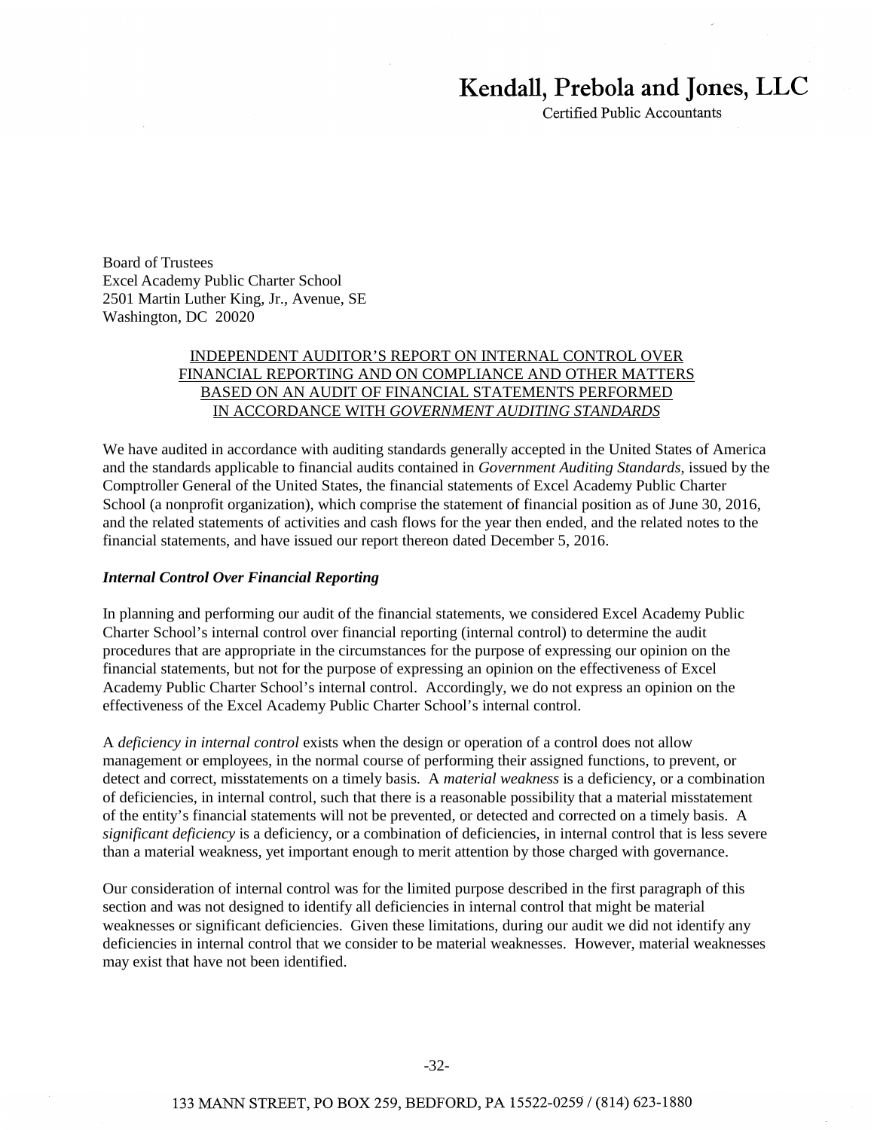# Kendall, Prebola and Jones, LLC

Certified Public Accountants

Board of Trustees Excel Academy Public Charter School 2501 Martin Luther King, Jr., Avenue, SE Washington, DC 20020

# INDEPENDENT AUDITOR'S REPORT ON INTERNAL CONTROL OVER FINANCIAL REPORTING AND ON COMPLIANCE AND OTHER MATTERS BASED ON AN AUDIT OF FINANCIAL STATEMENTS PERFORMED IN ACCORDANCE WITH *GOVERNMENT AUDITING STANDARDS*

We have audited in accordance with auditing standards generally accepted in the United States of America and the standards applicable to financial audits contained in *Government Auditing Standards*, issued by the Comptroller General of the United States, the financial statements of Excel Academy Public Charter School (a nonprofit organization), which comprise the statement of financial position as of June 30, 2016, and the related statements of activities and cash flows for the year then ended, and the related notes to the financial statements, and have issued our report thereon dated December 5, 2016.

#### *Internal Control Over Financial Reporting*

In planning and performing our audit of the financial statements, we considered Excel Academy Public Charter School's internal control over financial reporting (internal control) to determine the audit procedures that are appropriate in the circumstances for the purpose of expressing our opinion on the financial statements, but not for the purpose of expressing an opinion on the effectiveness of Excel Academy Public Charter School's internal control. Accordingly, we do not express an opinion on the effectiveness of the Excel Academy Public Charter School's internal control.

A *deficiency in internal control* exists when the design or operation of a control does not allow management or employees, in the normal course of performing their assigned functions, to prevent, or detect and correct, misstatements on a timely basis. A *material weakness* is a deficiency, or a combination of deficiencies, in internal control, such that there is a reasonable possibility that a material misstatement of the entity's financial statements will not be prevented, or detected and corrected on a timely basis. A *significant deficiency* is a deficiency, or a combination of deficiencies, in internal control that is less severe than a material weakness, yet important enough to merit attention by those charged with governance.

Our consideration of internal control was for the limited purpose described in the first paragraph of this section and was not designed to identify all deficiencies in internal control that might be material weaknesses or significant deficiencies. Given these limitations, during our audit we did not identify any deficiencies in internal control that we consider to be material weaknesses. However, material weaknesses may exist that have not been identified.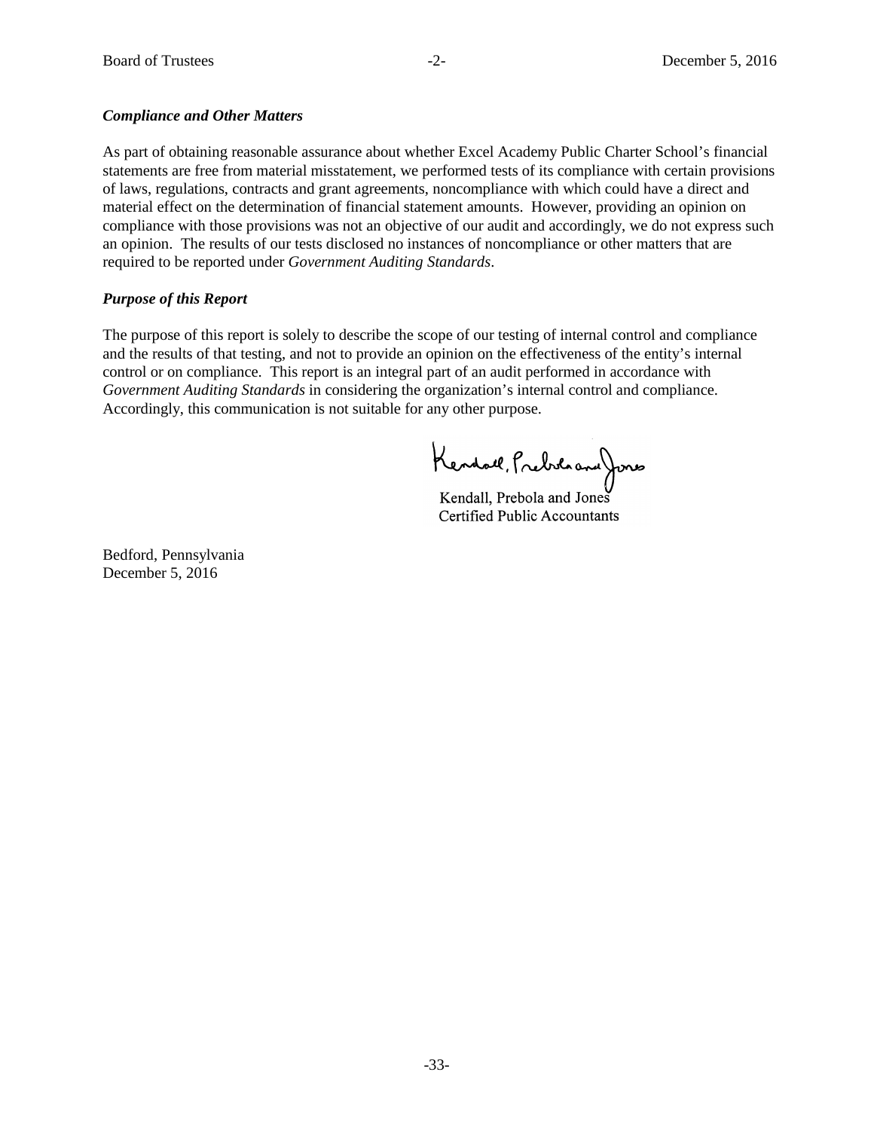# *Compliance and Other Matters* **including and reconciling such information directly to the unit of underlying and other Matters**

As part of obtaining reasonable assurance about whether Excel Academy Public Charter School's financial statements are free from material misstatement, we performed tests of its compliance with certain provisions of laws, regulations, contracts and grant agreements, noncompliance with which could have a direct and material effect on the determination of financial statement amounts. However, providing an opinion on compliance with those provisions was not an objective of our audit and accordingly, we do not express such an opinion. The results of our tests disclosed no instances of noncompliance or other matters that are required to be reported under *Government Auditing Standards*.

# *Purpose of this Report* **internal control on our tests of its compliance with certain provisions of this compliance with certain provisions of this Report**

The purpose of this report is solely to describe the scope of our testing of internal control and compliance and the results of that testing, and not to provide an opinion on the effectiveness of the entity's internal control or on compliance. This report is an integral part of an audit performed in accordance with Government Auditing Standards in considering the organization's internal control and compliance. Accordingly, this communication is not suitable for any other purpose.

Kendall, Prebila and Jones

Kendall, Prebola and Jones Kendall, Prebola and Jones Certified Public Accountants Certified Public Accountants

Bedford, Pennsylvania Bedford, Pennsylvania December  $5, 2016$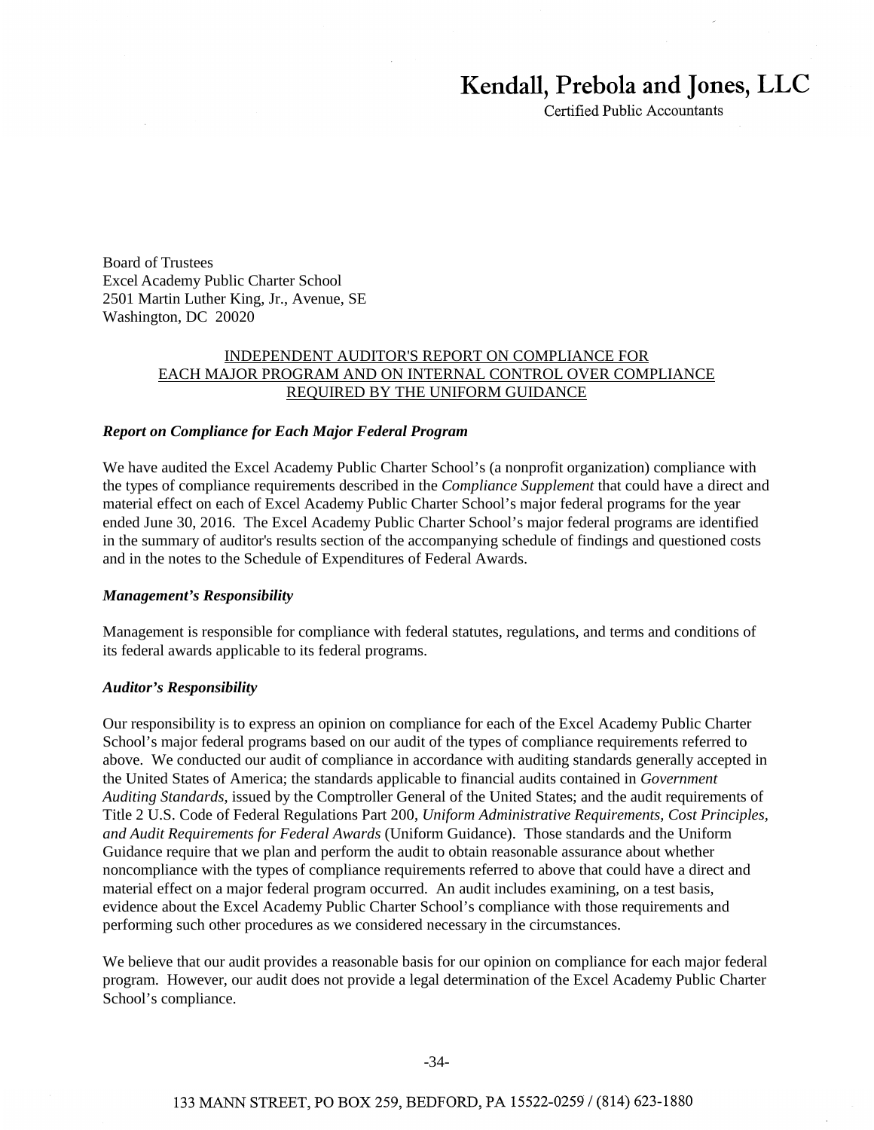# Kendall, Prebola and Jones, LLC

**Certified Public Accountants** 

Board of Trustees Excel Academy Public Charter School 2501 Martin Luther King, Jr., Avenue, SE Washington, DC 20020

# INDEPENDENT AUDITOR'S REPORT ON COMPLIANCE FOR EACH MAJOR PROGRAM AND ON INTERNAL CONTROL OVER COMPLIANCE REQUIRED BY THE UNIFORM GUIDANCE

# *Report on Compliance for Each Major Federal Program*

We have audited the Excel Academy Public Charter School's (a nonprofit organization) compliance with the types of compliance requirements described in the *Compliance Supplement* that could have a direct and material effect on each of Excel Academy Public Charter School's major federal programs for the year ended June 30, 2016. The Excel Academy Public Charter School's major federal programs are identified in the summary of auditor's results section of the accompanying schedule of findings and questioned costs and in the notes to the Schedule of Expenditures of Federal Awards.

#### *Management's Responsibility*

Management is responsible for compliance with federal statutes, regulations, and terms and conditions of its federal awards applicable to its federal programs.

#### *Auditor's Responsibility*

Our responsibility is to express an opinion on compliance for each of the Excel Academy Public Charter School's major federal programs based on our audit of the types of compliance requirements referred to above. We conducted our audit of compliance in accordance with auditing standards generally accepted in the United States of America; the standards applicable to financial audits contained in *Government Auditing Standards*, issued by the Comptroller General of the United States; and the audit requirements of Title 2 U.S. Code of Federal Regulations Part 200, *Uniform Administrative Requirements, Cost Principles, and Audit Requirements for Federal Awards* (Uniform Guidance). Those standards and the Uniform Guidance require that we plan and perform the audit to obtain reasonable assurance about whether noncompliance with the types of compliance requirements referred to above that could have a direct and material effect on a major federal program occurred. An audit includes examining, on a test basis, evidence about the Excel Academy Public Charter School's compliance with those requirements and performing such other procedures as we considered necessary in the circumstances.

We believe that our audit provides a reasonable basis for our opinion on compliance for each major federal program. However, our audit does not provide a legal determination of the Excel Academy Public Charter School's compliance.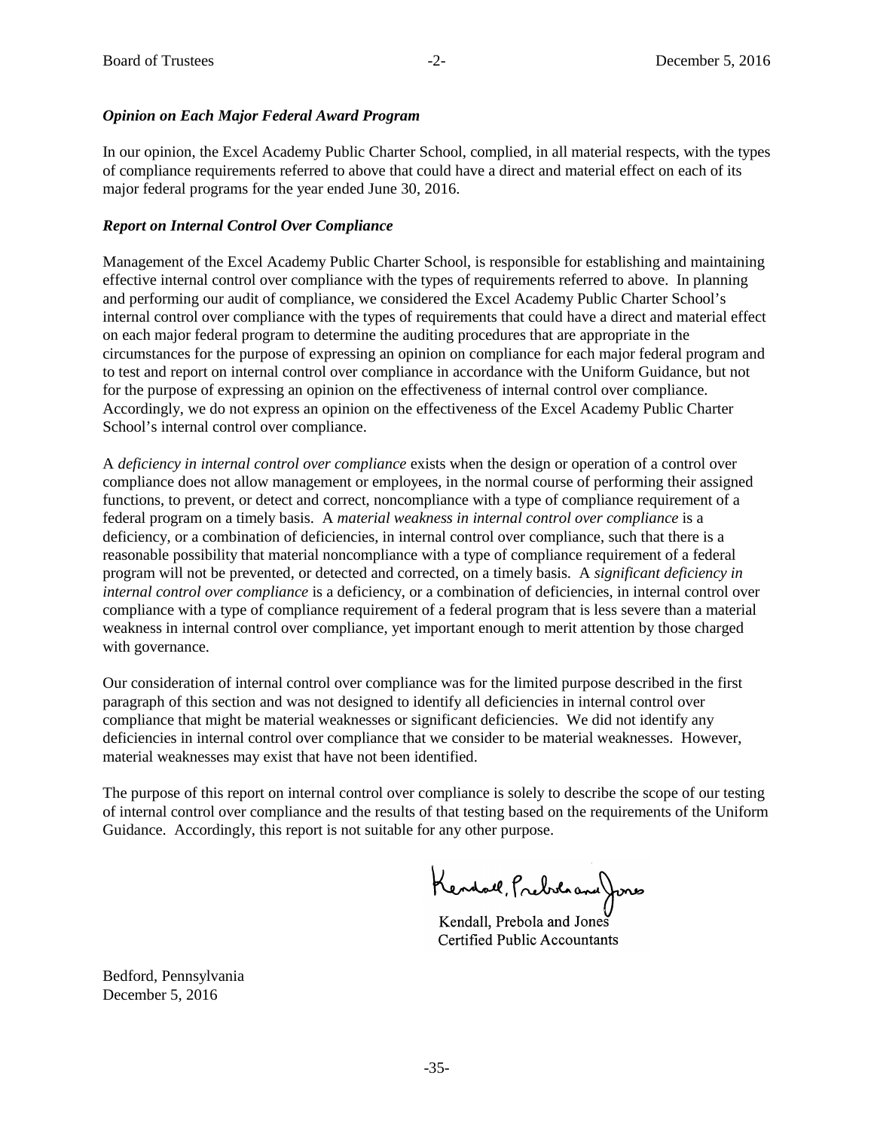## *Opinion on Each Major Federal Award Program*

In our opinion, the Excel Academy Public Charter School, complied, in all material respects, with the types of compliance requirements referred to above that could have a direct and material effect on each of its major federal programs for the year ended June 30, 2016.

# *Report on Internal Control Over Compliance Opinion*

Management of the Excel Academy Public Charter School, is responsible for establishing and maintaining effective internal control over compliance with the types of requirements referred to above. In planning and performing our audit of compliance, we considered the Excel Academy Public Charter School's internal control over compliance with the types of requirements that could have a direct and material effect on each major federal program to determine the auditing procedures that are appropriate in the circumstances for the purpose of expressing an opinion on compliance for each major federal program and to test and report on internal control over compliance in accordance with the Uniform Guidance, but not for the purpose of expressing an opinion on the effectiveness of internal control over compliance. Accordingly, we do not express an opinion on the effectiveness of the Excel Academy Public Charter School's internal control over compliance. In our opinion, the financial statements referred to above present fairly, in all material respects, the Financial position of the Excel Academy Public Charter School, is responsible for establishing and maintainin

A *deficiency in internal control over compliance* exists when the design or operation of a control over compliance does not allow management or employees, in the normal course of performing their assigned functions, to prevent, or detect and correct, noncompliance with a type of compliance requirement of a federal program on a timely basis. A material weakness in internal control over compliance is a deficiency, or a combination of deficiencies, in internal control over compliance, such that there is a reasonable possibility that material noncompliance with a type of compliance requirement of a federal program will not be prevented, or detected and corrected, on a timely basis. A *significant deficiency in* internal control over compliance is a deficiency, or a combination of deficiencies, in internal control over compliance with a type of compliance requirement of a federal program that is less severe than a material weakness in internal control over compliance, yet important enough to merit attention by those charged with governance. A deficiency in internal control over compliance exists when the design or operation of a control over

Our consideration of internal control over compliance was for the limited purpose described in the first paragraph of this section and was not designed to identify all deficiencies in internal control over compliance that might be material weaknesses or significant deficiencies. We did not identify any deficiencies in internal control over compliance that we consider to be material weaknesses. However, material weaknesses may exist that have not been identified.

The purpose of this report on internal control over compliance is solely to describe the scope of our testing of internal control over compliance and the results of that testing based on the requirements of the Uniform Guidance. Accordingly, this report is not suitable for any other purpose.

Kendal, Prebia and Jones

Kendall, Prebola and Jones Kendall, Prebola and Jones Certified Public Accountants Certified Public Accountants

Bedford, Pennsylvania Bedford, Pennsylvania December 5, 2016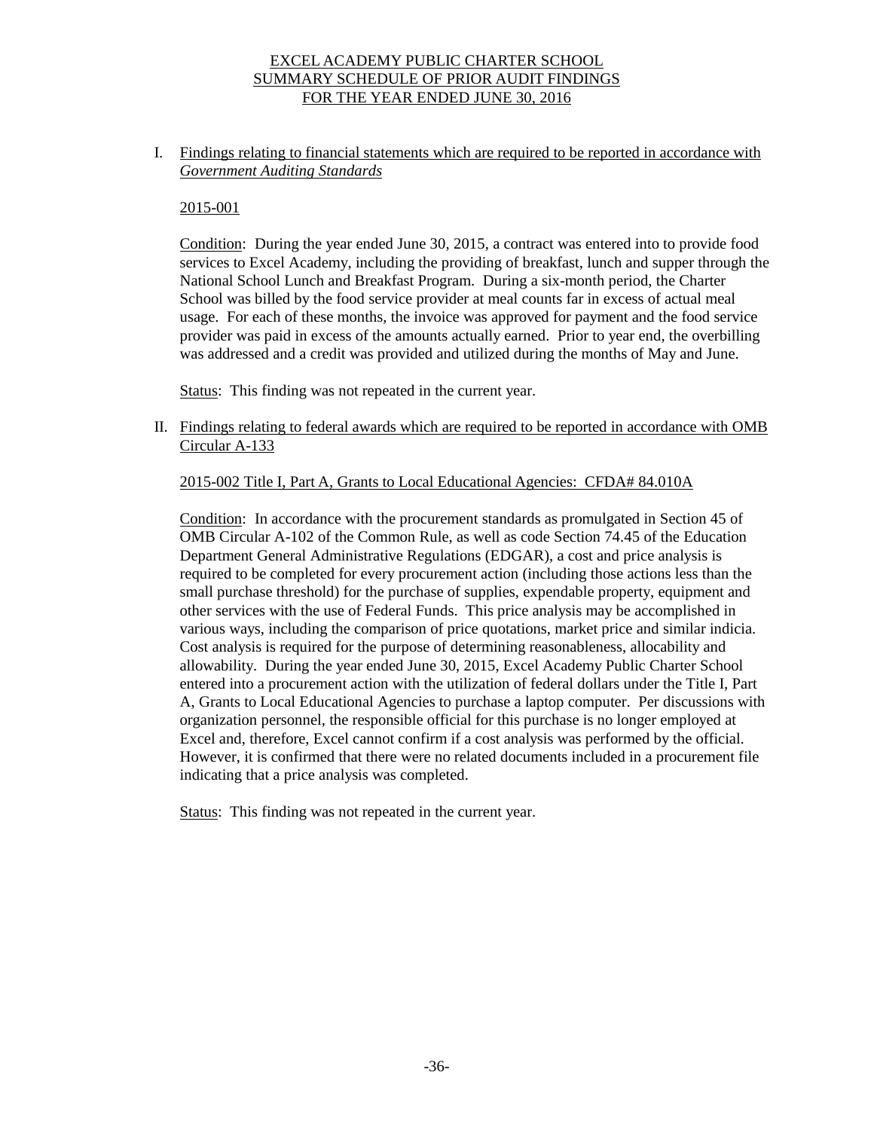# EXCEL ACADEMY PUBLIC CHARTER SCHOOL SUMMARY SCHEDULE OF PRIOR AUDIT FINDINGS FOR THE YEAR ENDED JUNE 30, 2016

I. Findings relating to financial statements which are required to be reported in accordance with *Government Auditing Standards*

## 2015-001

Condition: During the year ended June 30, 2015, a contract was entered into to provide food services to Excel Academy, including the providing of breakfast, lunch and supper through the National School Lunch and Breakfast Program. During a six-month period, the Charter School was billed by the food service provider at meal counts far in excess of actual meal usage. For each of these months, the invoice was approved for payment and the food service provider was paid in excess of the amounts actually earned. Prior to year end, the overbilling was addressed and a credit was provided and utilized during the months of May and June.

Status: This finding was not repeated in the current year.

II. Findings relating to federal awards which are required to be reported in accordance with OMB Circular A-133

## 2015-002 Title I, Part A, Grants to Local Educational Agencies: CFDA# 84.010A

Condition: In accordance with the procurement standards as promulgated in Section 45 of OMB Circular A-102 of the Common Rule, as well as code Section 74.45 of the Education Department General Administrative Regulations (EDGAR), a cost and price analysis is required to be completed for every procurement action (including those actions less than the small purchase threshold) for the purchase of supplies, expendable property, equipment and other services with the use of Federal Funds. This price analysis may be accomplished in various ways, including the comparison of price quotations, market price and similar indicia. Cost analysis is required for the purpose of determining reasonableness, allocability and allowability. During the year ended June 30, 2015, Excel Academy Public Charter School entered into a procurement action with the utilization of federal dollars under the Title I, Part A, Grants to Local Educational Agencies to purchase a laptop computer. Per discussions with organization personnel, the responsible official for this purchase is no longer employed at Excel and, therefore, Excel cannot confirm if a cost analysis was performed by the official. However, it is confirmed that there were no related documents included in a procurement file indicating that a price analysis was completed.

Status: This finding was not repeated in the current year.